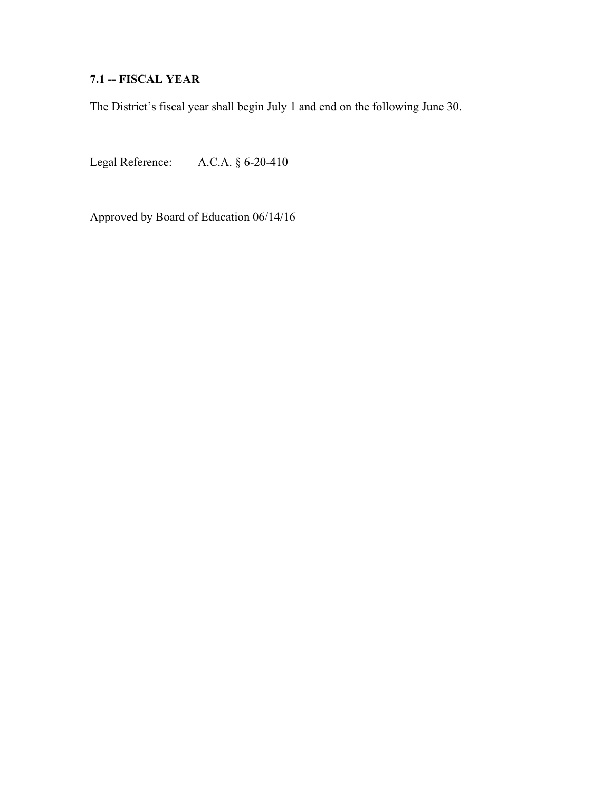# **7.1 -- FISCAL YEAR**

The District's fiscal year shall begin July 1 and end on the following June 30.

Legal Reference: A.C.A. § 6-20-410

Approved by Board of Education 06/14/16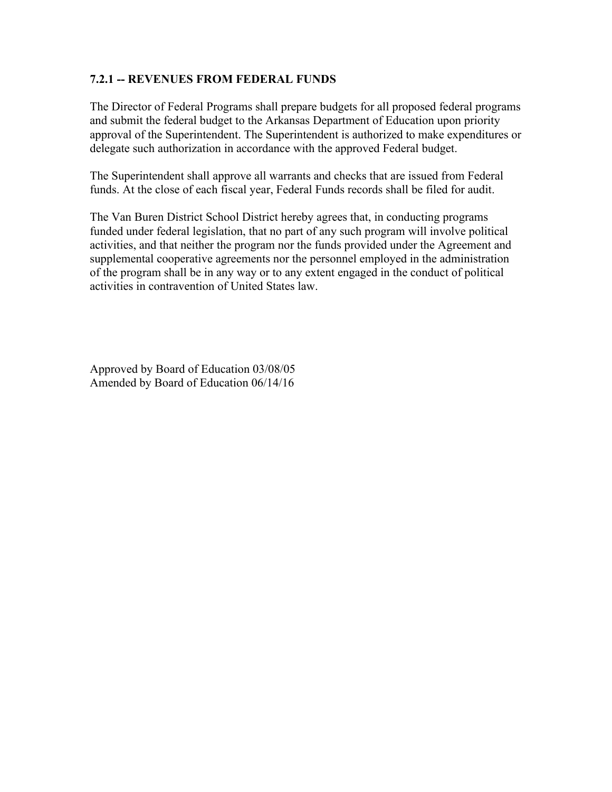# **7.2.1 -- REVENUES FROM FEDERAL FUNDS**

The Director of Federal Programs shall prepare budgets for all proposed federal programs and submit the federal budget to the Arkansas Department of Education upon priority approval of the Superintendent. The Superintendent is authorized to make expenditures or delegate such authorization in accordance with the approved Federal budget.

The Superintendent shall approve all warrants and checks that are issued from Federal funds. At the close of each fiscal year, Federal Funds records shall be filed for audit.

The Van Buren District School District hereby agrees that, in conducting programs funded under federal legislation, that no part of any such program will involve political activities, and that neither the program nor the funds provided under the Agreement and supplemental cooperative agreements nor the personnel employed in the administration of the program shall be in any way or to any extent engaged in the conduct of political activities in contravention of United States law.

Approved by Board of Education 03/08/05 Amended by Board of Education 06/14/16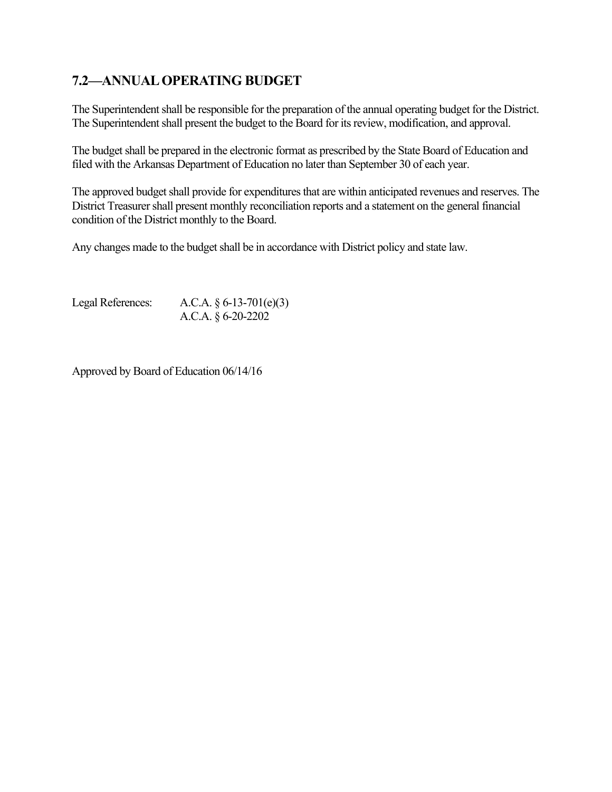# **7.2—ANNUAL OPERATING BUDGET**

The Superintendent shall be responsible for the preparation of the annual operating budget for the District. The Superintendent shall present the budget to the Board for its review, modification, and approval.

The budget shall be prepared in the electronic format as prescribed by the State Board of Education and filed with the Arkansas Department of Education no later than September 30 of each year.

The approved budget shall provide for expenditures that are within anticipated revenues and reserves. The District Treasurer shall present monthly reconciliation reports and a statement on the general financial condition of the District monthly to the Board.

Any changes made to the budget shall be in accordance with District policy and state law.

Legal References: A.C.A. § 6-13-701(e)(3) A.C.A. § 6-20-2202

Approved by Board of Education 06/14/16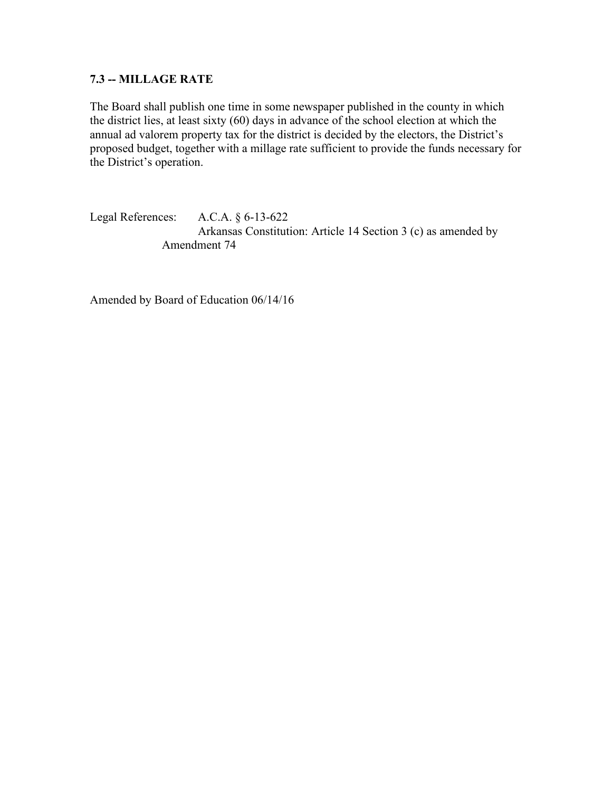# **7.3 -- MILLAGE RATE**

The Board shall publish one time in some newspaper published in the county in which the district lies, at least sixty (60) days in advance of the school election at which the annual ad valorem property tax for the district is decided by the electors, the District's proposed budget, together with a millage rate sufficient to provide the funds necessary for the District's operation.

Legal References: A.C.A. § 6-13-622 Arkansas Constitution: Article 14 Section 3 (c) as amended by Amendment 74

Amended by Board of Education 06/14/16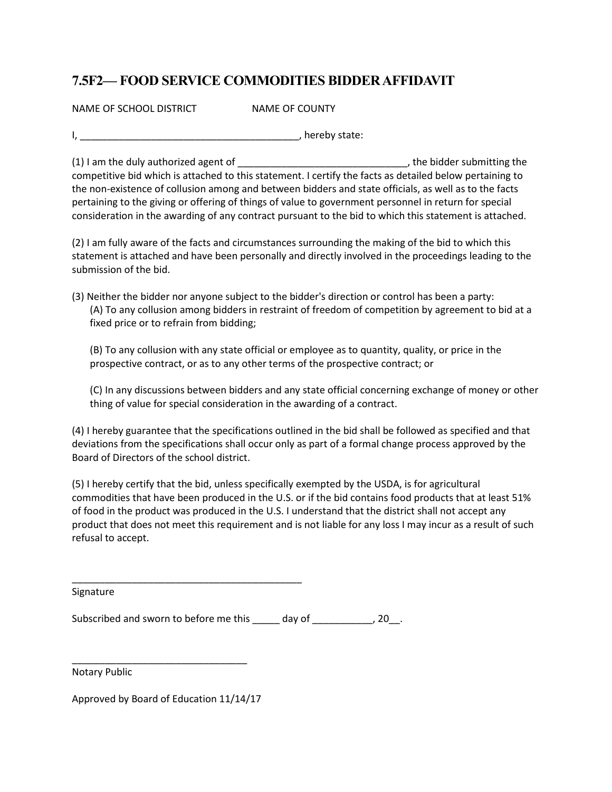# **7.5F2— FOOD SERVICE COMMODITIES BIDDER AFFIDAVIT**

NAME OF SCHOOL DISTRICT NAME OF COUNTY

I, \_\_\_\_\_\_\_\_\_\_\_\_\_\_\_\_\_\_\_\_\_\_\_\_\_\_\_\_\_\_\_\_\_\_\_\_\_\_\_\_, hereby state:

(1) I am the duly authorized agent of \_\_\_\_\_\_\_\_\_\_\_\_\_\_\_\_\_\_\_\_\_\_\_\_\_\_\_\_\_\_\_, the bidder submitting the competitive bid which is attached to this statement. I certify the facts as detailed below pertaining to the non-existence of collusion among and between bidders and state officials, as well as to the facts pertaining to the giving or offering of things of value to government personnel in return for special consideration in the awarding of any contract pursuant to the bid to which this statement is attached.

(2) I am fully aware of the facts and circumstances surrounding the making of the bid to which this statement is attached and have been personally and directly involved in the proceedings leading to the submission of the bid.

(3) Neither the bidder nor anyone subject to the bidder's direction or control has been a party: (A) To any collusion among bidders in restraint of freedom of competition by agreement to bid at a fixed price or to refrain from bidding;

(B) To any collusion with any state official or employee as to quantity, quality, or price in the prospective contract, or as to any other terms of the prospective contract; or

(C) In any discussions between bidders and any state official concerning exchange of money or other thing of value for special consideration in the awarding of a contract.

(4) I hereby guarantee that the specifications outlined in the bid shall be followed as specified and that deviations from the specifications shall occur only as part of a formal change process approved by the Board of Directors of the school district.

(5) I hereby certify that the bid, unless specifically exempted by the USDA, is for agricultural commodities that have been produced in the U.S. or if the bid contains food products that at least 51% of food in the product was produced in the U.S. I understand that the district shall not accept any product that does not meet this requirement and is not liable for any loss I may incur as a result of such refusal to accept.

Signature

Subscribed and sworn to before me this \_\_\_\_\_ day of \_\_\_\_\_\_\_\_\_\_\_, 20\_\_.

Notary Public

Approved by Board of Education 11/14/17

\_\_\_\_\_\_\_\_\_\_\_\_\_\_\_\_\_\_\_\_\_\_\_\_\_\_\_\_\_\_\_\_

\_\_\_\_\_\_\_\_\_\_\_\_\_\_\_\_\_\_\_\_\_\_\_\_\_\_\_\_\_\_\_\_\_\_\_\_\_\_\_\_\_\_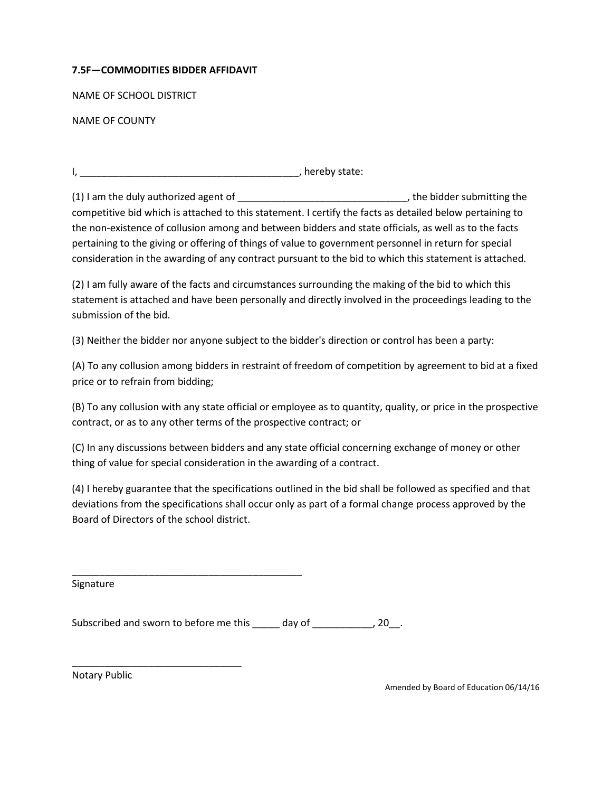#### **7.5F—COMMODITIES BIDDER AFFIDAVIT**

NAME OF SCHOOL DISTRICT

NAME OF COUNTY

I, \_\_\_\_\_\_\_\_\_\_\_\_\_\_\_\_\_\_\_\_\_\_\_\_\_\_\_\_\_\_\_\_\_\_\_\_\_\_\_\_, hereby state:

(1) I am the duly authorized agent of \_\_\_\_\_\_\_\_\_\_\_\_\_\_\_\_\_\_\_\_\_\_\_\_\_\_\_\_\_\_\_, the bidder submitting the competitive bid which is attached to this statement. I certify the facts as detailed below pertaining to the non-existence of collusion among and between bidders and state officials, as well as to the facts pertaining to the giving or offering of things of value to government personnel in return for special consideration in the awarding of any contract pursuant to the bid to which this statement is attached.

(2) I am fully aware of the facts and circumstances surrounding the making of the bid to which this statement is attached and have been personally and directly involved in the proceedings leading to the submission of the bid.

(3) Neither the bidder nor anyone subject to the bidder's direction or control has been a party:

(A) To any collusion among bidders in restraint of freedom of competition by agreement to bid at a fixed price or to refrain from bidding;

(B) To any collusion with any state official or employee as to quantity, quality, or price in the prospective contract, or as to any other terms of the prospective contract; or

(C) In any discussions between bidders and any state official concerning exchange of money or other thing of value for special consideration in the awarding of a contract.

(4) I hereby guarantee that the specifications outlined in the bid shall be followed as specified and that deviations from the specifications shall occur only as part of a formal change process approved by the Board of Directors of the school district.

Signature

Subscribed and sworn to before me this \_\_\_\_\_ day of \_\_\_\_\_\_\_\_\_\_, 20\_.

\_\_\_\_\_\_\_\_\_\_\_\_\_\_\_\_\_\_\_\_\_\_\_\_\_\_\_\_\_\_\_\_\_\_\_\_\_\_\_\_\_\_

\_\_\_\_\_\_\_\_\_\_\_\_\_\_\_\_\_\_\_\_\_\_\_\_\_\_\_\_\_\_\_

Notary Public

Amended by Board of Education 06/14/16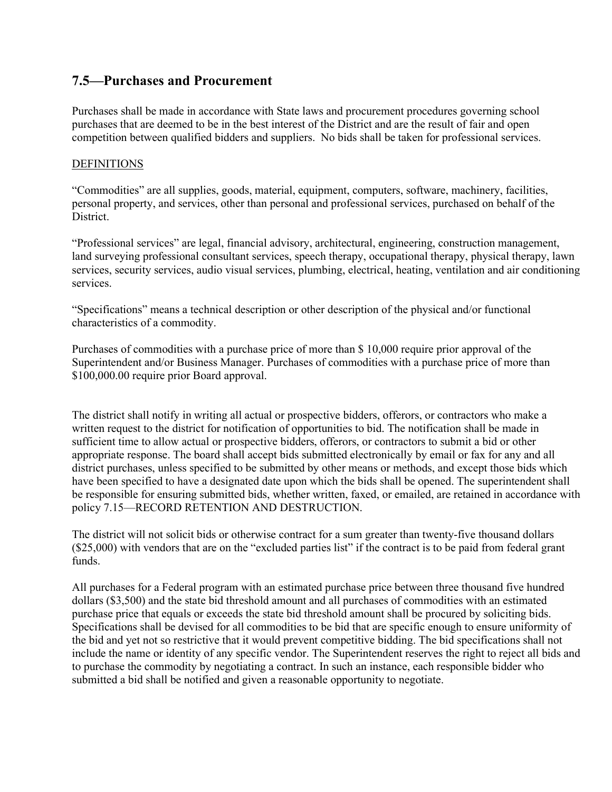# **7.5—Purchases and Procurement**

Purchases shall be made in accordance with State laws and procurement procedures governing school purchases that are deemed to be in the best interest of the District and are the result of fair and open competition between qualified bidders and suppliers. No bids shall be taken for professional services.

#### **DEFINITIONS**

"Commodities" are all supplies, goods, material, equipment, computers, software, machinery, facilities, personal property, and services, other than personal and professional services, purchased on behalf of the District.

"Professional services" are legal, financial advisory, architectural, engineering, construction management, land surveying professional consultant services, speech therapy, occupational therapy, physical therapy, lawn services, security services, audio visual services, plumbing, electrical, heating, ventilation and air conditioning services.

"Specifications" means a technical description or other description of the physical and/or functional characteristics of a commodity.

Purchases of commodities with a purchase price of more than \$ 10,000 require prior approval of the Superintendent and/or Business Manager. Purchases of commodities with a purchase price of more than \$100,000.00 require prior Board approval.

The district shall notify in writing all actual or prospective bidders, offerors, or contractors who make a written request to the district for notification of opportunities to bid. The notification shall be made in sufficient time to allow actual or prospective bidders, offerors, or contractors to submit a bid or other appropriate response. The board shall accept bids submitted electronically by email or fax for any and all district purchases, unless specified to be submitted by other means or methods, and except those bids which have been specified to have a designated date upon which the bids shall be opened. The superintendent shall be responsible for ensuring submitted bids, whether written, faxed, or emailed, are retained in accordance with policy 7.15—RECORD RETENTION AND DESTRUCTION.

The district will not solicit bids or otherwise contract for a sum greater than twenty-five thousand dollars (\$25,000) with vendors that are on the "excluded parties list" if the contract is to be paid from federal grant funds.

All purchases for a Federal program with an estimated purchase price between three thousand five hundred dollars (\$3,500) and the state bid threshold amount and all purchases of commodities with an estimated purchase price that equals or exceeds the state bid threshold amount shall be procured by soliciting bids. Specifications shall be devised for all commodities to be bid that are specific enough to ensure uniformity of the bid and yet not so restrictive that it would prevent competitive bidding. The bid specifications shall not include the name or identity of any specific vendor. The Superintendent reserves the right to reject all bids and to purchase the commodity by negotiating a contract. In such an instance, each responsible bidder who submitted a bid shall be notified and given a reasonable opportunity to negotiate.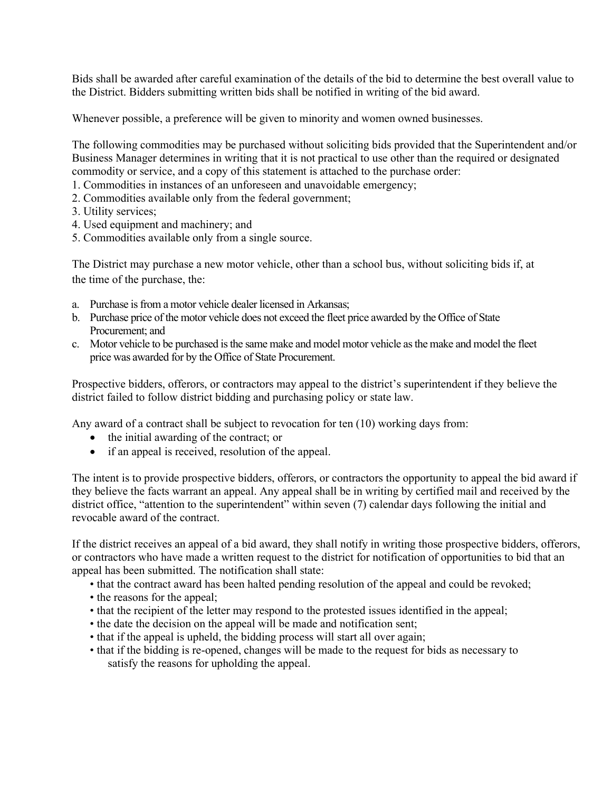Bids shall be awarded after careful examination of the details of the bid to determine the best overall value to the District. Bidders submitting written bids shall be notified in writing of the bid award.

Whenever possible, a preference will be given to minority and women owned businesses.

The following commodities may be purchased without soliciting bids provided that the Superintendent and/or Business Manager determines in writing that it is not practical to use other than the required or designated commodity or service, and a copy of this statement is attached to the purchase order:

- 1. Commodities in instances of an unforeseen and unavoidable emergency;
- 2. Commodities available only from the federal government;
- 3. Utility services;
- 4. Used equipment and machinery; and
- 5. Commodities available only from a single source.

The District may purchase a new motor vehicle, other than a school bus, without soliciting bids if, at the time of the purchase, the:

- a. Purchase is from a motor vehicle dealer licensed in Arkansas;
- b. Purchase price of the motor vehicle does not exceed the fleet price awarded by the Office of State Procurement; and
- c. Motor vehicle to be purchased is the same make and model motor vehicle as the make and model the fleet price was awarded for by the Office of State Procurement.

Prospective bidders, offerors, or contractors may appeal to the district's superintendent if they believe the district failed to follow district bidding and purchasing policy or state law.

Any award of a contract shall be subject to revocation for ten (10) working days from:

- the initial awarding of the contract; or
- if an appeal is received, resolution of the appeal.

The intent is to provide prospective bidders, offerors, or contractors the opportunity to appeal the bid award if they believe the facts warrant an appeal. Any appeal shall be in writing by certified mail and received by the district office, "attention to the superintendent" within seven (7) calendar days following the initial and revocable award of the contract.

If the district receives an appeal of a bid award, they shall notify in writing those prospective bidders, offerors, or contractors who have made a written request to the district for notification of opportunities to bid that an appeal has been submitted. The notification shall state:

- that the contract award has been halted pending resolution of the appeal and could be revoked;
- the reasons for the appeal;
- that the recipient of the letter may respond to the protested issues identified in the appeal;
- the date the decision on the appeal will be made and notification sent;
- that if the appeal is upheld, the bidding process will start all over again;
- that if the bidding is re-opened, changes will be made to the request for bids as necessary to satisfy the reasons for upholding the appeal.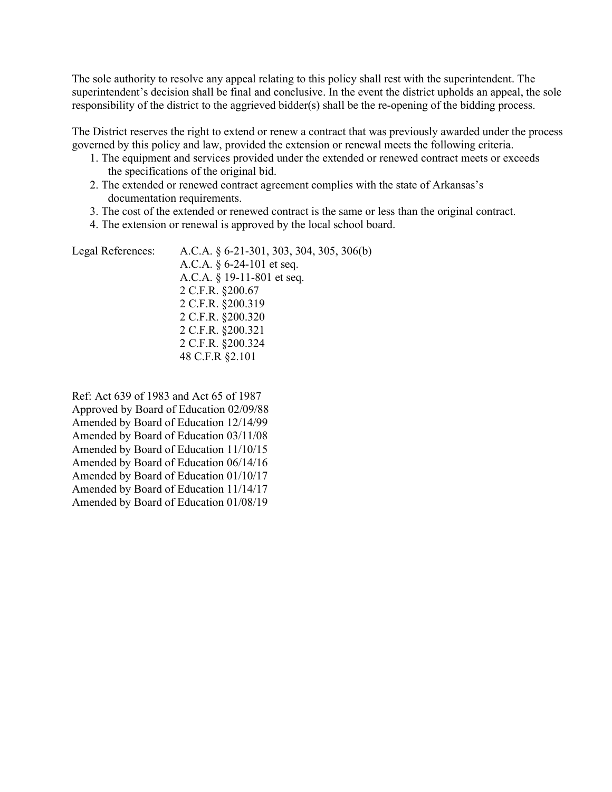The sole authority to resolve any appeal relating to this policy shall rest with the superintendent. The superintendent's decision shall be final and conclusive. In the event the district upholds an appeal, the sole responsibility of the district to the aggrieved bidder(s) shall be the re-opening of the bidding process.

The District reserves the right to extend or renew a contract that was previously awarded under the process governed by this policy and law, provided the extension or renewal meets the following criteria.

- 1. The equipment and services provided under the extended or renewed contract meets or exceeds the specifications of the original bid.
- 2. The extended or renewed contract agreement complies with the state of Arkansas's documentation requirements.
- 3. The cost of the extended or renewed contract is the same or less than the original contract.
- 4. The extension or renewal is approved by the local school board.

Ref: Act 639 of 1983 and Act 65 of 1987 Approved by Board of Education 02/09/88 Amended by Board of Education 12/14/99 Amended by Board of Education 03/11/08 Amended by Board of Education 11/10/15 Amended by Board of Education 06/14/16 Amended by Board of Education 01/10/17 Amended by Board of Education 11/14/17 Amended by Board of Education 01/08/19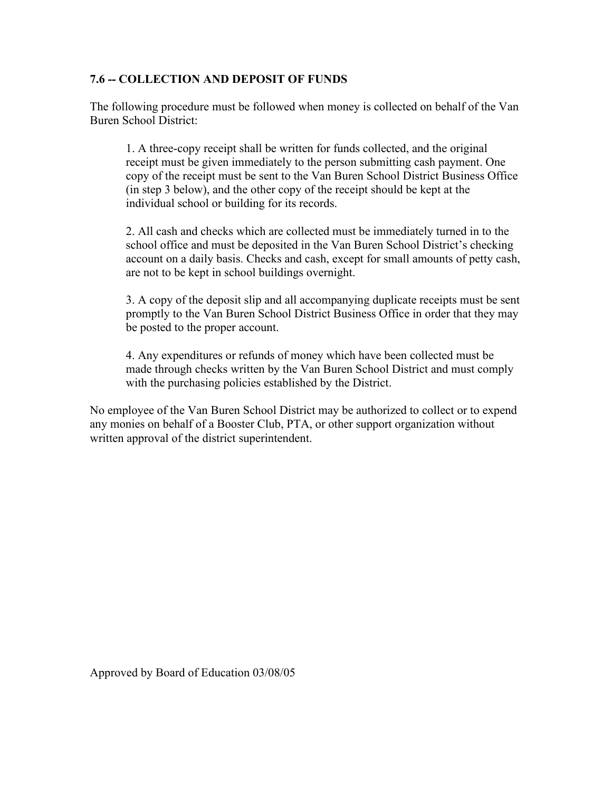### **7.6 -- COLLECTION AND DEPOSIT OF FUNDS**

The following procedure must be followed when money is collected on behalf of the Van Buren School District:

1. A three-copy receipt shall be written for funds collected, and the original receipt must be given immediately to the person submitting cash payment. One copy of the receipt must be sent to the Van Buren School District Business Office (in step 3 below), and the other copy of the receipt should be kept at the individual school or building for its records.

2. All cash and checks which are collected must be immediately turned in to the school office and must be deposited in the Van Buren School District's checking account on a daily basis. Checks and cash, except for small amounts of petty cash, are not to be kept in school buildings overnight.

3. A copy of the deposit slip and all accompanying duplicate receipts must be sent promptly to the Van Buren School District Business Office in order that they may be posted to the proper account.

4. Any expenditures or refunds of money which have been collected must be made through checks written by the Van Buren School District and must comply with the purchasing policies established by the District.

No employee of the Van Buren School District may be authorized to collect or to expend any monies on behalf of a Booster Club, PTA, or other support organization without written approval of the district superintendent.

Approved by Board of Education 03/08/05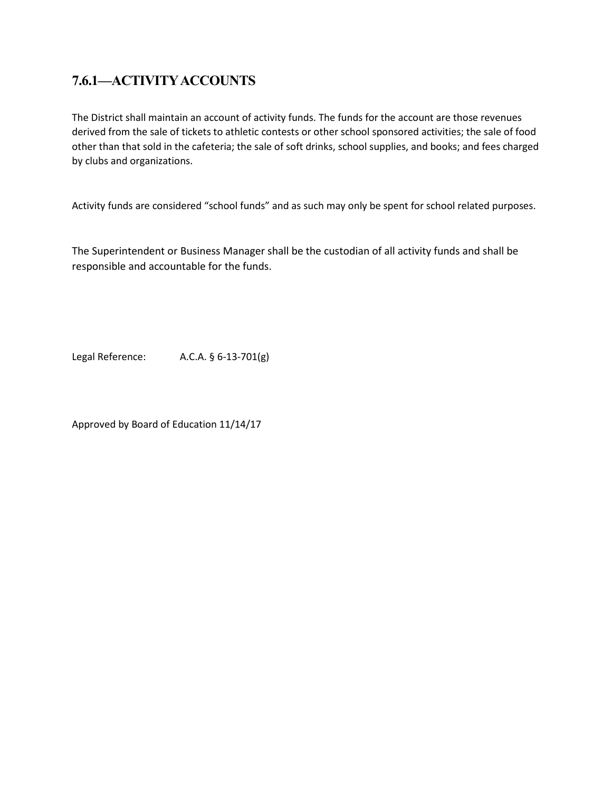# **7.6.1—ACTIVITY ACCOUNTS**

The District shall maintain an account of activity funds. The funds for the account are those revenues derived from the sale of tickets to athletic contests or other school sponsored activities; the sale of food other than that sold in the cafeteria; the sale of soft drinks, school supplies, and books; and fees charged by clubs and organizations.

Activity funds are considered "school funds" and as such may only be spent for school related purposes.

The Superintendent or Business Manager shall be the custodian of all activity funds and shall be responsible and accountable for the funds.

Legal Reference: A.C.A. § 6-13-701(g)

Approved by Board of Education 11/14/17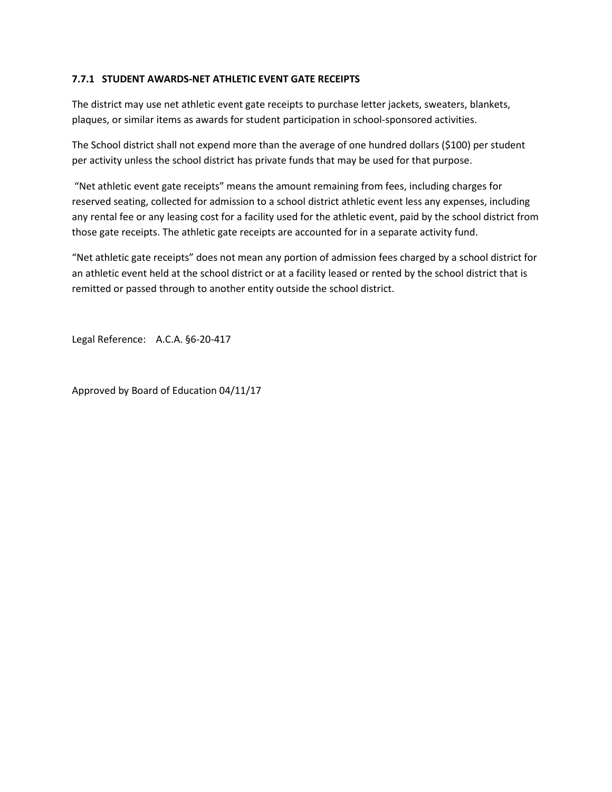#### **7.7.1 STUDENT AWARDS-NET ATHLETIC EVENT GATE RECEIPTS**

The district may use net athletic event gate receipts to purchase letter jackets, sweaters, blankets, plaques, or similar items as awards for student participation in school-sponsored activities.

The School district shall not expend more than the average of one hundred dollars (\$100) per student per activity unless the school district has private funds that may be used for that purpose.

"Net athletic event gate receipts" means the amount remaining from fees, including charges for reserved seating, collected for admission to a school district athletic event less any expenses, including any rental fee or any leasing cost for a facility used for the athletic event, paid by the school district from those gate receipts. The athletic gate receipts are accounted for in a separate activity fund.

"Net athletic gate receipts" does not mean any portion of admission fees charged by a school district for an athletic event held at the school district or at a facility leased or rented by the school district that is remitted or passed through to another entity outside the school district.

Legal Reference: A.C.A. §6-20-417

Approved by Board of Education 04/11/17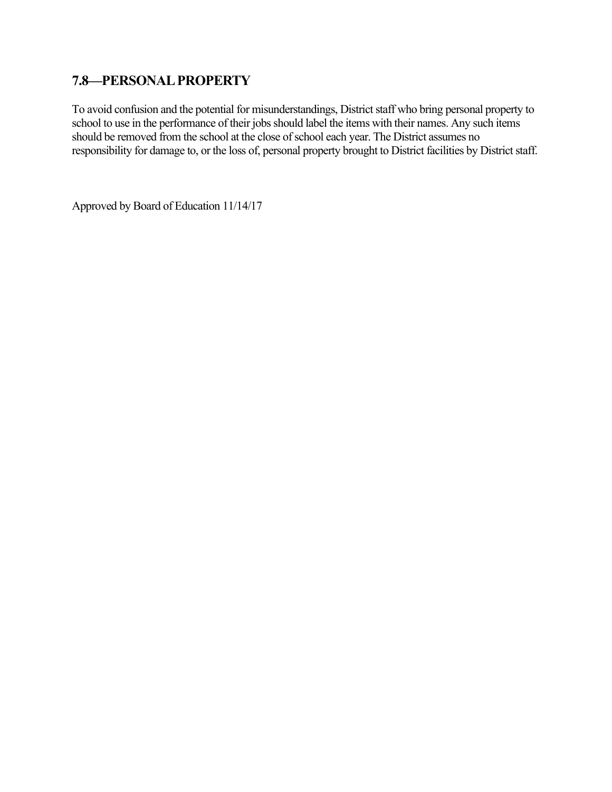# **7.8—PERSONAL PROPERTY**

To avoid confusion and the potential for misunderstandings, District staff who bring personal property to school to use in the performance of their jobs should label the items with their names. Any such items should be removed from the school at the close of school each year. The District assumes no responsibility for damage to, or the loss of, personal property brought to District facilities by District staff.

Approved by Board of Education 11/14/17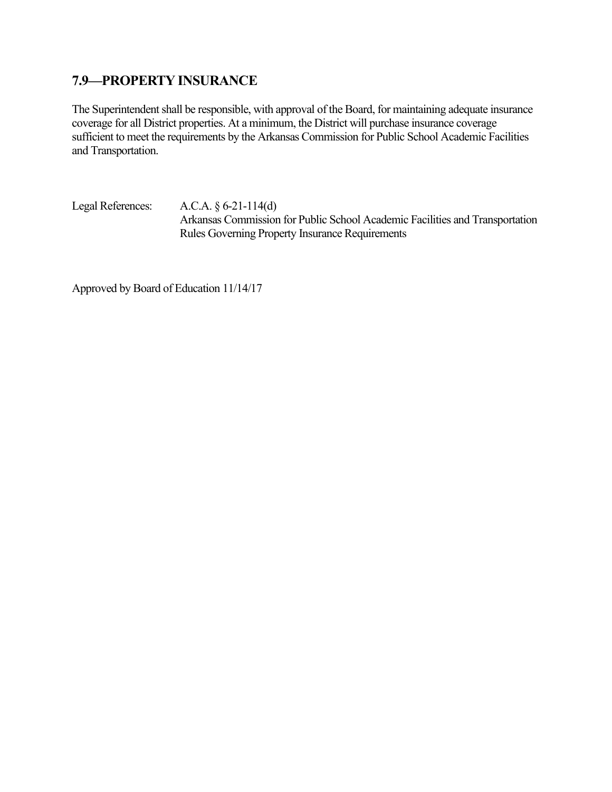# **7.9—PROPERTY INSURANCE**

The Superintendent shall be responsible, with approval of the Board, for maintaining adequate insurance coverage for all District properties. At a minimum, the District will purchase insurance coverage sufficient to meet the requirements by the Arkansas Commission for Public School Academic Facilities and Transportation.

Legal References: A.C.A. § 6-21-114(d) Arkansas Commission for Public School Academic Facilities and Transportation Rules Governing Property Insurance Requirements

Approved by Board of Education 11/14/17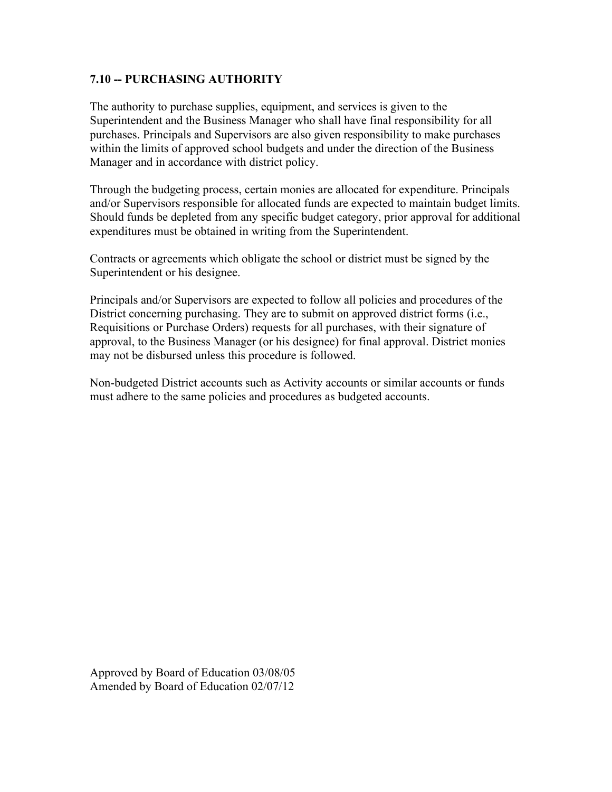### **7.10 -- PURCHASING AUTHORITY**

The authority to purchase supplies, equipment, and services is given to the Superintendent and the Business Manager who shall have final responsibility for all purchases. Principals and Supervisors are also given responsibility to make purchases within the limits of approved school budgets and under the direction of the Business Manager and in accordance with district policy.

Through the budgeting process, certain monies are allocated for expenditure. Principals and/or Supervisors responsible for allocated funds are expected to maintain budget limits. Should funds be depleted from any specific budget category, prior approval for additional expenditures must be obtained in writing from the Superintendent.

Contracts or agreements which obligate the school or district must be signed by the Superintendent or his designee.

Principals and/or Supervisors are expected to follow all policies and procedures of the District concerning purchasing. They are to submit on approved district forms (i.e., Requisitions or Purchase Orders) requests for all purchases, with their signature of approval, to the Business Manager (or his designee) for final approval. District monies may not be disbursed unless this procedure is followed.

Non-budgeted District accounts such as Activity accounts or similar accounts or funds must adhere to the same policies and procedures as budgeted accounts.

Approved by Board of Education 03/08/05 Amended by Board of Education 02/07/12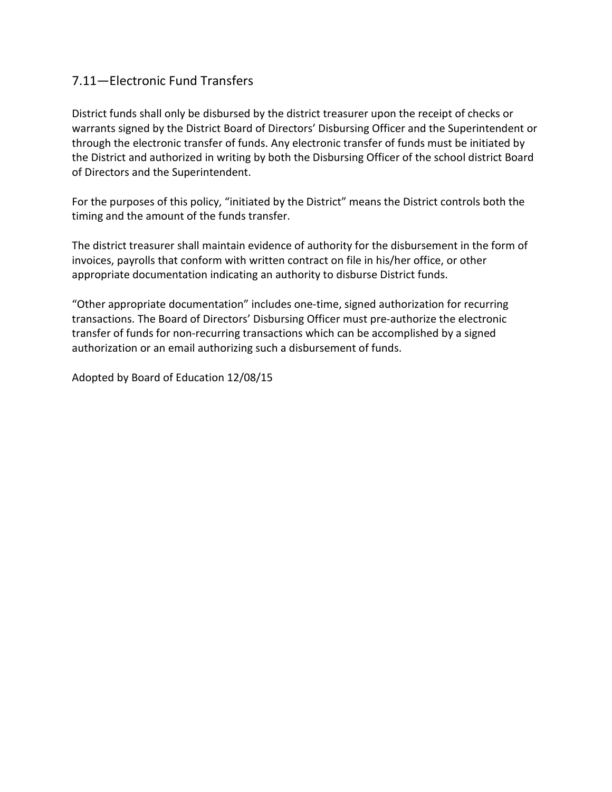# 7.11—Electronic Fund Transfers

District funds shall only be disbursed by the district treasurer upon the receipt of checks or warrants signed by the District Board of Directors' Disbursing Officer and the Superintendent or through the electronic transfer of funds. Any electronic transfer of funds must be initiated by the District and authorized in writing by both the Disbursing Officer of the school district Board of Directors and the Superintendent.

For the purposes of this policy, "initiated by the District" means the District controls both the timing and the amount of the funds transfer.

The district treasurer shall maintain evidence of authority for the disbursement in the form of invoices, payrolls that conform with written contract on file in his/her office, or other appropriate documentation indicating an authority to disburse District funds.

"Other appropriate documentation" includes one-time, signed authorization for recurring transactions. The Board of Directors' Disbursing Officer must pre-authorize the electronic transfer of funds for non-recurring transactions which can be accomplished by a signed authorization or an email authorizing such a disbursement of funds.

Adopted by Board of Education 12/08/15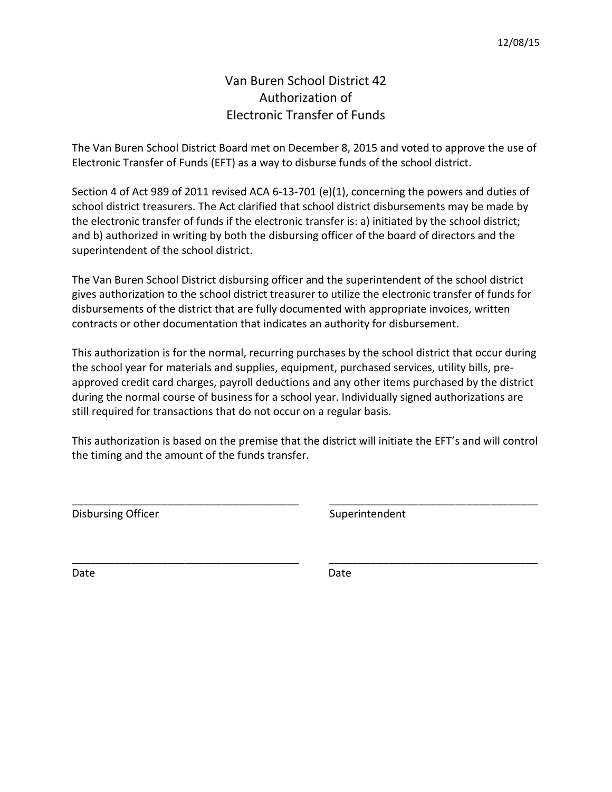# Van Buren School District 42 Authorization of Electronic Transfer of Funds

The Van Buren School District Board met on December 8, 2015 and voted to approve the use of Electronic Transfer of Funds (EFT) as a way to disburse funds of the school district.

Section 4 of Act 989 of 2011 revised ACA 6-13-701 (e)(1), concerning the powers and duties of school district treasurers. The Act clarified that school district disbursements may be made by the electronic transfer of funds if the electronic transfer is: a) initiated by the school district; and b) authorized in writing by both the disbursing officer of the board of directors and the superintendent of the school district.

The Van Buren School District disbursing officer and the superintendent of the school district gives authorization to the school district treasurer to utilize the electronic transfer of funds for disbursements of the district that are fully documented with appropriate invoices, written contracts or other documentation that indicates an authority for disbursement.

This authorization is for the normal, recurring purchases by the school district that occur during the school year for materials and supplies, equipment, purchased services, utility bills, preapproved credit card charges, payroll deductions and any other items purchased by the district during the normal course of business for a school year. Individually signed authorizations are still required for transactions that do not occur on a regular basis.

This authorization is based on the premise that the district will initiate the EFT's and will control the timing and the amount of the funds transfer.

\_\_\_\_\_\_\_\_\_\_\_\_\_\_\_\_\_\_\_\_\_\_\_\_\_\_\_\_\_\_\_\_\_\_\_\_\_\_ \_\_\_\_\_\_\_\_\_\_\_\_\_\_\_\_\_\_\_\_\_\_\_\_\_\_\_\_\_\_\_\_\_\_\_

\_\_\_\_\_\_\_\_\_\_\_\_\_\_\_\_\_\_\_\_\_\_\_\_\_\_\_\_\_\_\_\_\_\_\_\_\_\_ \_\_\_\_\_\_\_\_\_\_\_\_\_\_\_\_\_\_\_\_\_\_\_\_\_\_\_\_\_\_\_\_\_\_\_

Disbursing Officer **Superintendent** Superintendent

Date **Date** Date **Date** Date **Date**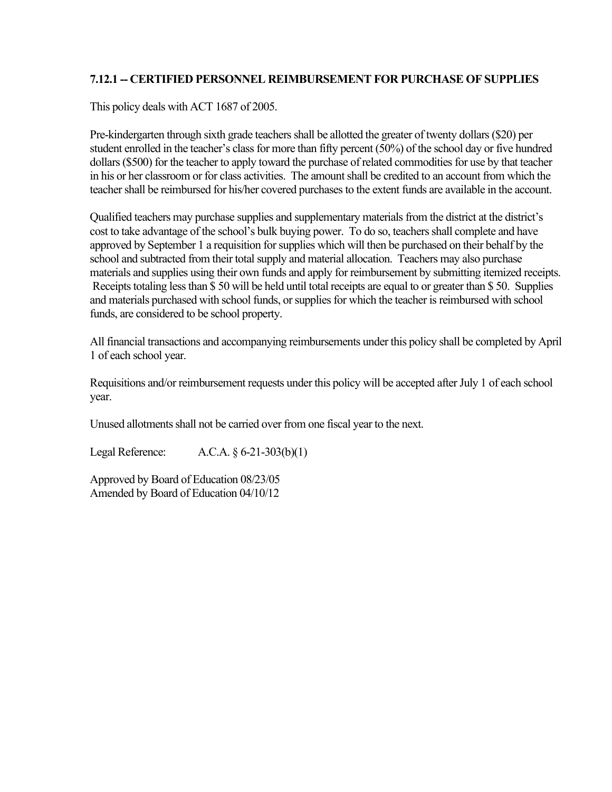# **7.12.1 -- CERTIFIED PERSONNEL REIMBURSEMENT FOR PURCHASE OF SUPPLIES**

This policy deals with ACT 1687 of 2005.

Pre-kindergarten through sixth grade teachers shall be allotted the greater of twenty dollars (\$20) per student enrolled in the teacher's class for more than fifty percent (50%) of the school day or five hundred dollars (\$500) for the teacher to apply toward the purchase of related commodities for use by that teacher in his or her classroom or for class activities. The amount shall be credited to an account from which the teacher shall be reimbursed for his/her covered purchases to the extent funds are available in the account.

Qualified teachers may purchase supplies and supplementary materials from the district at the district's cost to take advantage of the school's bulk buying power. To do so, teachers shall complete and have approved by September 1 a requisition for supplies which will then be purchased on their behalf by the school and subtracted from their total supply and material allocation. Teachers may also purchase materials and supplies using their own funds and apply for reimbursement by submitting itemized receipts. Receipts totaling less than \$ 50 will be held until total receipts are equal to or greater than \$ 50. Supplies and materials purchased with school funds, or supplies for which the teacher is reimbursed with school funds, are considered to be school property.

All financial transactions and accompanying reimbursements under this policy shall be completed by April 1 of each school year.

Requisitions and/or reimbursement requests under this policy will be accepted after July 1 of each school year.

Unused allotments shall not be carried over from one fiscal year to the next.

Legal Reference: A.C.A. § 6-21-303(b)(1)

Approved by Board of Education 08/23/05 Amended by Board of Education 04/10/12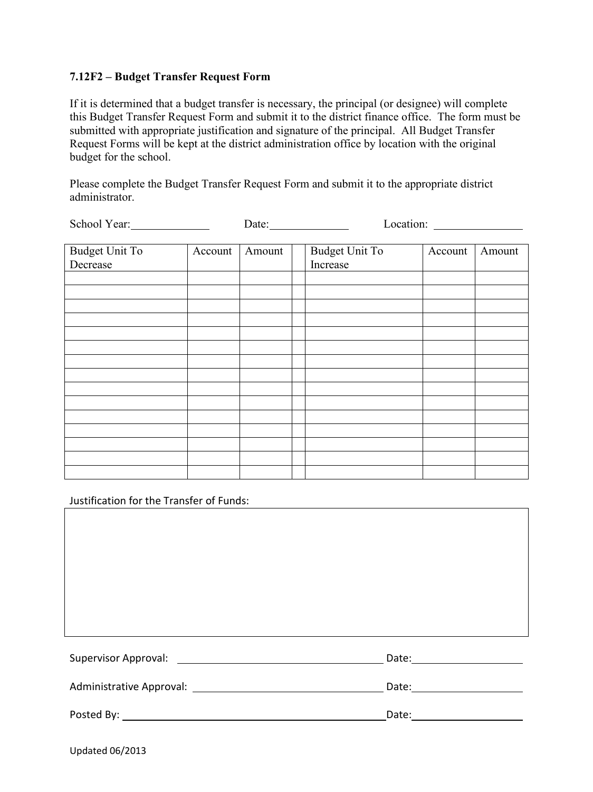### **7.12F2 – Budget Transfer Request Form**

If it is determined that a budget transfer is necessary, the principal (or designee) will complete this Budget Transfer Request Form and submit it to the district finance office. The form must be submitted with appropriate justification and signature of the principal. All Budget Transfer Request Forms will be kept at the district administration office by location with the original budget for the school.

Please complete the Budget Transfer Request Form and submit it to the appropriate district administrator.

| School Year:          | Date:   |        |  |                       |         |        |
|-----------------------|---------|--------|--|-----------------------|---------|--------|
|                       |         |        |  |                       |         |        |
| <b>Budget Unit To</b> | Account | Amount |  | <b>Budget Unit To</b> | Account | Amount |
| Decrease              |         |        |  | Increase              |         |        |
|                       |         |        |  |                       |         |        |
|                       |         |        |  |                       |         |        |
|                       |         |        |  |                       |         |        |
|                       |         |        |  |                       |         |        |
|                       |         |        |  |                       |         |        |
|                       |         |        |  |                       |         |        |
|                       |         |        |  |                       |         |        |
|                       |         |        |  |                       |         |        |
|                       |         |        |  |                       |         |        |
|                       |         |        |  |                       |         |        |
|                       |         |        |  |                       |         |        |
|                       |         |        |  |                       |         |        |
|                       |         |        |  |                       |         |        |
|                       |         |        |  |                       |         |        |
|                       |         |        |  |                       |         |        |
|                       |         |        |  |                       |         |        |
|                       |         |        |  |                       |         |        |
|                       |         |        |  |                       |         |        |

Justification for the Transfer of Funds:

Supervisor Approval: Date:

Administrative Approval: Date:

Posted By: The contract of the contract of the contract of the contract of the contract of the contract of the contract of the contract of the contract of the contract of the contract of the contract of the contract of the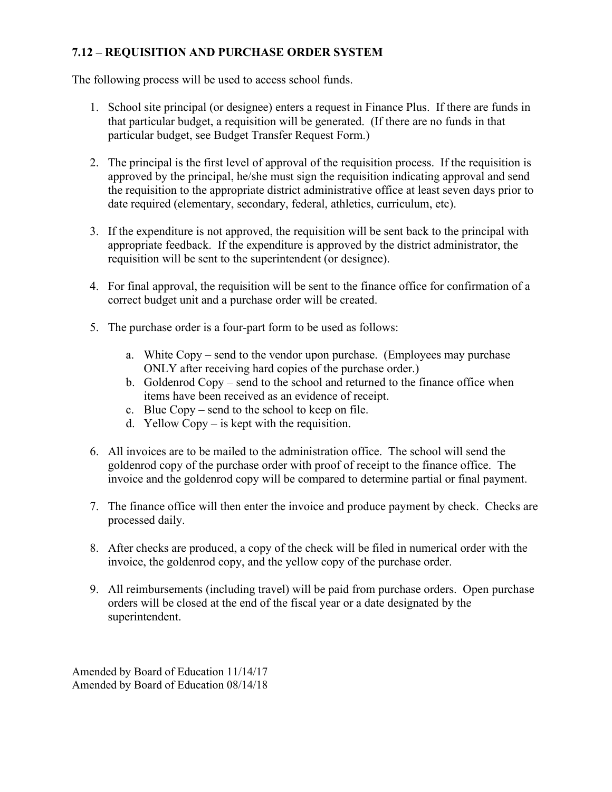# **7.12 – REQUISITION AND PURCHASE ORDER SYSTEM**

The following process will be used to access school funds.

- 1. School site principal (or designee) enters a request in Finance Plus. If there are funds in that particular budget, a requisition will be generated. (If there are no funds in that particular budget, see Budget Transfer Request Form.)
- 2. The principal is the first level of approval of the requisition process. If the requisition is approved by the principal, he/she must sign the requisition indicating approval and send the requisition to the appropriate district administrative office at least seven days prior to date required (elementary, secondary, federal, athletics, curriculum, etc).
- 3. If the expenditure is not approved, the requisition will be sent back to the principal with appropriate feedback. If the expenditure is approved by the district administrator, the requisition will be sent to the superintendent (or designee).
- 4. For final approval, the requisition will be sent to the finance office for confirmation of a correct budget unit and a purchase order will be created.
- 5. The purchase order is a four-part form to be used as follows:
	- a. White Copy send to the vendor upon purchase. (Employees may purchase ONLY after receiving hard copies of the purchase order.)
	- b. Goldenrod Copy send to the school and returned to the finance office when items have been received as an evidence of receipt.
	- c. Blue Copy send to the school to keep on file.
	- d. Yellow  $Copy is kept with the regulation.$
- 6. All invoices are to be mailed to the administration office. The school will send the goldenrod copy of the purchase order with proof of receipt to the finance office. The invoice and the goldenrod copy will be compared to determine partial or final payment.
- 7. The finance office will then enter the invoice and produce payment by check. Checks are processed daily.
- 8. After checks are produced, a copy of the check will be filed in numerical order with the invoice, the goldenrod copy, and the yellow copy of the purchase order.
- 9. All reimbursements (including travel) will be paid from purchase orders. Open purchase orders will be closed at the end of the fiscal year or a date designated by the superintendent.

Amended by Board of Education 11/14/17 Amended by Board of Education 08/14/18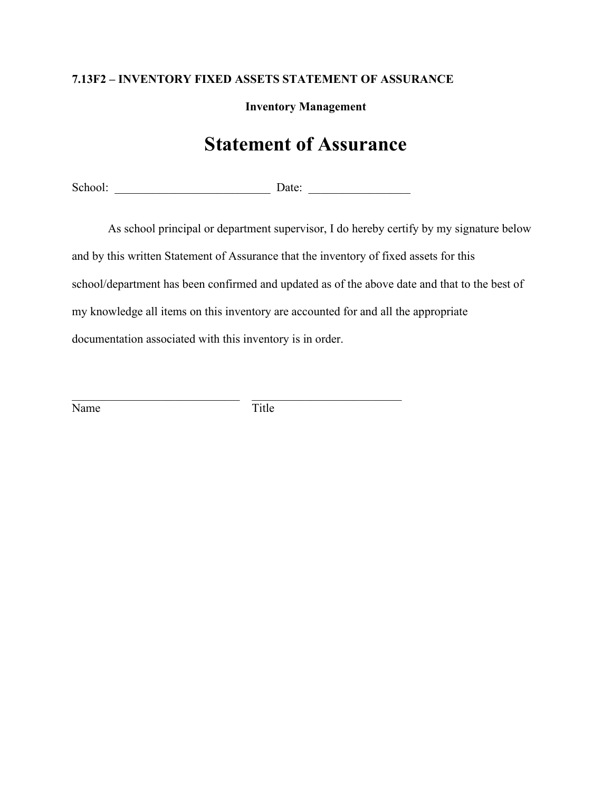# **7.13F2 – INVENTORY FIXED ASSETS STATEMENT OF ASSURANCE**

**Inventory Management**

# **Statement of Assurance**

School: \_\_\_\_\_\_\_\_\_\_\_\_\_\_\_\_\_\_\_\_\_\_\_\_\_\_ Date: \_\_\_\_\_\_\_\_\_\_\_\_\_\_\_\_\_

As school principal or department supervisor, I do hereby certify by my signature below and by this written Statement of Assurance that the inventory of fixed assets for this school/department has been confirmed and updated as of the above date and that to the best of my knowledge all items on this inventory are accounted for and all the appropriate documentation associated with this inventory is in order.

Name Title

\_\_\_\_\_\_\_\_\_\_\_\_\_\_\_\_\_\_\_\_\_\_\_\_\_\_\_\_ \_\_\_\_\_\_\_\_\_\_\_\_\_\_\_\_\_\_\_\_\_\_\_\_\_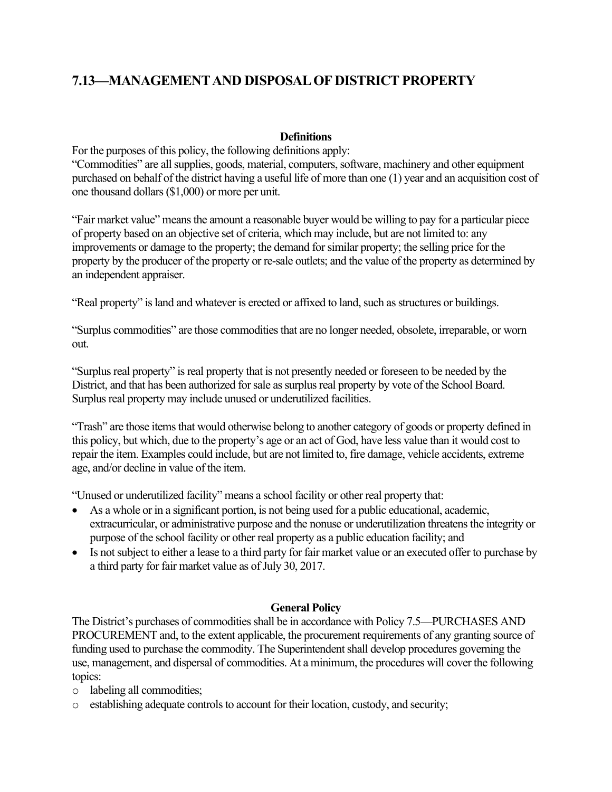# **7.13—MANAGEMENT AND DISPOSAL OF DISTRICT PROPERTY**

#### **Definitions**

For the purposes of this policy, the following definitions apply:

"Commodities" are all supplies, goods, material, computers, software, machinery and other equipment purchased on behalf of the district having a useful life of more than one (1) year and an acquisition cost of one thousand dollars (\$1,000) or more per unit.

"Fair market value" means the amount a reasonable buyer would be willing to pay for a particular piece of property based on an objective set of criteria, which may include, but are not limited to: any improvements or damage to the property; the demand for similar property; the selling price for the property by the producer of the property or re-sale outlets; and the value of the property as determined by an independent appraiser.

"Real property" is land and whatever is erected or affixed to land, such as structures or buildings.

"Surplus commodities" are those commodities that are no longer needed, obsolete, irreparable, or worn out.

"Surplus real property" is real property that is not presently needed or foreseen to be needed by the District, and that has been authorized for sale as surplus real property by vote of the School Board. Surplus real property may include unused or underutilized facilities.

"Trash" are those items that would otherwise belong to another category of goods or property defined in this policy, but which, due to the property's age or an act of God, have less value than it would cost to repair the item. Examples could include, but are not limited to, fire damage, vehicle accidents, extreme age, and/or decline in value of the item.

"Unused or underutilized facility" means a school facility or other real property that:

- As a whole or in a significant portion, is not being used for a public educational, academic, extracurricular, or administrative purpose and the nonuse or underutilization threatens the integrity or purpose of the school facility or other real property as a public education facility; and
- Is not subject to either a lease to a third party for fair market value or an executed offer to purchase by a third party for fair market value as of July 30, 2017.

#### **General Policy**

The District's purchases of commodities shall be in accordance with Policy 7.5—PURCHASES AND PROCUREMENT and, to the extent applicable, the procurement requirements of any granting source of funding used to purchase the commodity. The Superintendent shall develop procedures governing the use, management, and dispersal of commodities. At a minimum, the procedures will cover the following topics:

- o labeling all commodities;
- o establishing adequate controls to account for their location, custody, and security;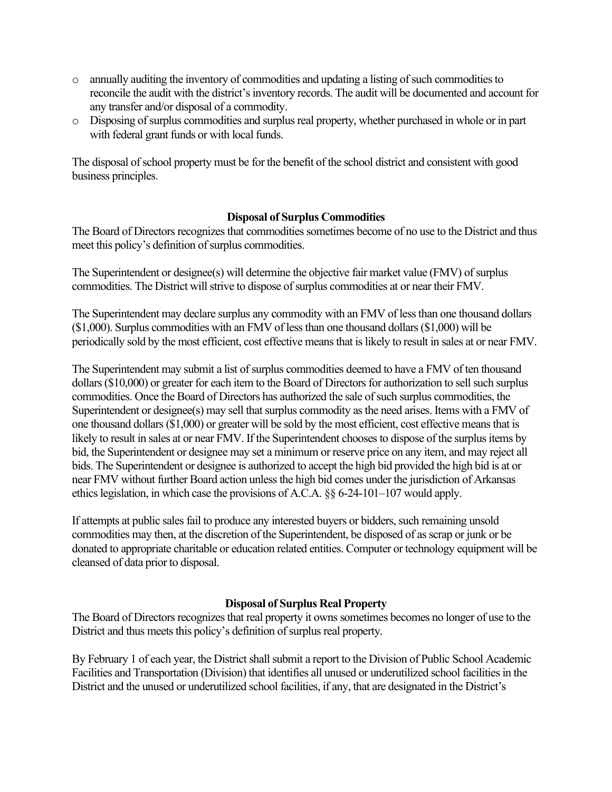- o annually auditing the inventory of commodities and updating a listing of such commodities to reconcile the audit with the district's inventory records. The audit will be documented and account for any transfer and/or disposal of a commodity.
- o Disposing of surplus commodities and surplus real property, whether purchased in whole or in part with federal grant funds or with local funds.

The disposal of school property must be for the benefit of the school district and consistent with good business principles.

### **Disposal of Surplus Commodities**

The Board of Directors recognizes that commodities sometimes become of no use to the District and thus meet this policy's definition of surplus commodities.

The Superintendent or designee(s) will determine the objective fair market value (FMV) of surplus commodities. The District will strive to dispose of surplus commodities at or near their FMV.

The Superintendent may declare surplus any commodity with an FMV of less than one thousand dollars (\$1,000). Surplus commodities with an FMV of less than one thousand dollars (\$1,000) will be periodically sold by the most efficient, cost effective means that is likely to result in sales at or near FMV.

The Superintendent may submit a list of surplus commodities deemed to have a FMV of ten thousand dollars (\$10,000) or greater for each item to the Board of Directors for authorization to sell such surplus commodities. Once the Board of Directors has authorized the sale of such surplus commodities, the Superintendent or designee(s) may sell that surplus commodity as the need arises. Items with a FMV of one thousand dollars (\$1,000) or greater will be sold by the most efficient, cost effective means that is likely to result in sales at or near FMV. If the Superintendent chooses to dispose of the surplus items by bid, the Superintendent or designee may set a minimum or reserve price on any item, and may reject all bids. The Superintendent or designee is authorized to accept the high bid provided the high bid is at or near FMV without further Board action unless the high bid comes under the jurisdiction of Arkansas ethics legislation, in which case the provisions of A.C.A. §§ 6-24-101–107 would apply.

If attempts at public sales fail to produce any interested buyers or bidders, such remaining unsold commodities may then, at the discretion of the Superintendent, be disposed of as scrap or junk or be donated to appropriate charitable or education related entities. Computer or technology equipment will be cleansed of data prior to disposal.

#### **Disposal of Surplus Real Property**

The Board of Directors recognizes that real property it owns sometimes becomes no longer of use to the District and thus meets this policy's definition of surplus real property.

By February 1 of each year, the District shall submit a report to the Division of Public School Academic Facilities and Transportation (Division) that identifies all unused or underutilized school facilities in the District and the unused or underutilized school facilities, if any, that are designated in the District's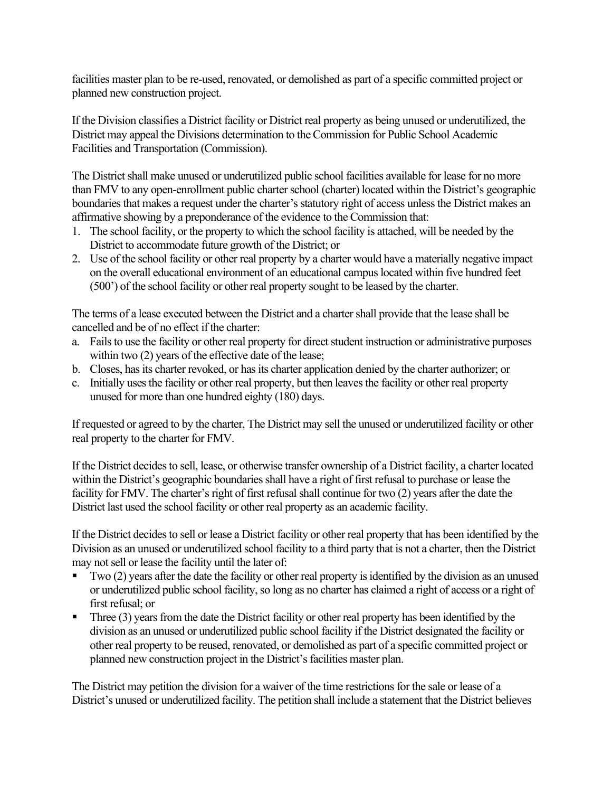facilities master plan to be re-used, renovated, or demolished as part of a specific committed project or planned new construction project.

If the Division classifies a District facility or District real property as being unused or underutilized, the District may appeal the Divisions determination to the Commission for Public School Academic Facilities and Transportation (Commission).

The District shall make unused or underutilized public school facilities available for lease for no more than FMV to any open-enrollment public charter school (charter) located within the District's geographic boundaries that makes a request under the charter's statutory right of access unless the District makes an affirmative showing by a preponderance of the evidence to the Commission that:

- 1. The school facility, or the property to which the school facility is attached, will be needed by the District to accommodate future growth of the District; or
- 2. Use of the school facility or other real property by a charter would have a materially negative impact on the overall educational environment of an educational campus located within five hundred feet (500') of the school facility or other real property sought to be leased by the charter.

The terms of a lease executed between the District and a charter shall provide that the lease shall be cancelled and be of no effect if the charter:

- a. Fails to use the facility or other real property for direct student instruction or administrative purposes within two  $(2)$  years of the effective date of the lease;
- b. Closes, has its charter revoked, or has its charter application denied by the charter authorizer; or
- c. Initially uses the facility or other real property, but then leaves the facility or other real property unused for more than one hundred eighty (180) days.

If requested or agreed to by the charter, The District may sell the unused or underutilized facility or other real property to the charter for FMV.

If the District decides to sell, lease, or otherwise transfer ownership of a District facility, a charter located within the District's geographic boundaries shall have a right of first refusal to purchase or lease the facility for FMV. The charter's right of first refusal shall continue for two (2) years after the date the District last used the school facility or other real property as an academic facility.

If the District decides to sell or lease a District facility or other real property that has been identified by the Division as an unused or underutilized school facility to a third party that is not a charter, then the District may not sell or lease the facility until the later of:

- $\blacksquare$  Two (2) years after the date the facility or other real property is identified by the division as an unused or underutilized public school facility, so long as no charter has claimed a right of access or a right of first refusal; or
- Three  $(3)$  years from the date the District facility or other real property has been identified by the division as an unused or underutilized public school facility if the District designated the facility or other real property to be reused, renovated, or demolished as part of a specific committed project or planned new construction project in the District's facilities master plan.

The District may petition the division for a waiver of the time restrictions for the sale or lease of a District's unused or underutilized facility. The petition shall include a statement that the District believes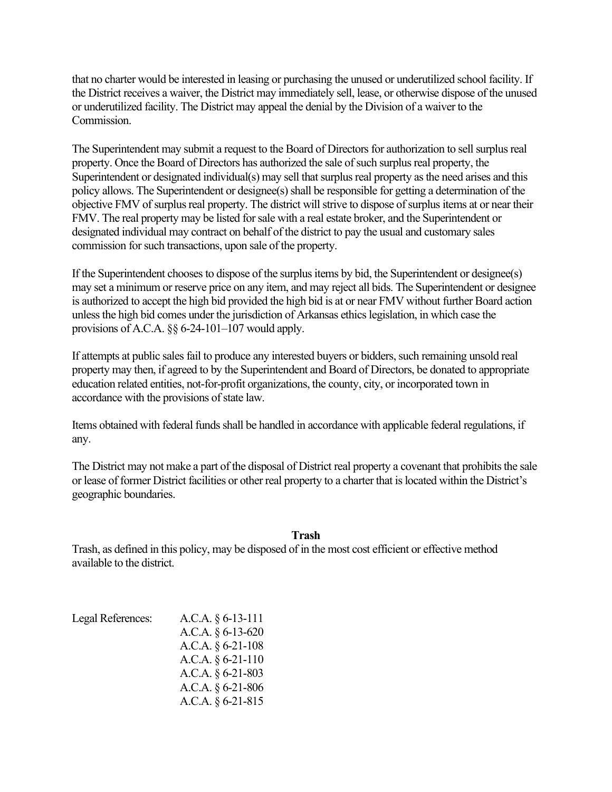that no charter would be interested in leasing or purchasing the unused or underutilized school facility. If the District receives a waiver, the District may immediately sell, lease, or otherwise dispose of the unused or underutilized facility. The District may appeal the denial by the Division of a waiver to the Commission.

The Superintendent may submit a request to the Board of Directors for authorization to sell surplus real property. Once the Board of Directors has authorized the sale of such surplus real property, the Superintendent or designated individual(s) may sell that surplus real property as the need arises and this policy allows. The Superintendent or designee(s) shall be responsible for getting a determination of the objective FMV of surplus real property. The district will strive to dispose of surplus items at or near their FMV. The real property may be listed for sale with a real estate broker, and the Superintendent or designated individual may contract on behalf of the district to pay the usual and customary sales commission for such transactions, upon sale of the property.

If the Superintendent chooses to dispose of the surplus items by bid, the Superintendent or designee(s) may set a minimum or reserve price on any item, and may reject all bids. The Superintendent or designee is authorized to accept the high bid provided the high bid is at or near FMV without further Board action unless the high bid comes under the jurisdiction of Arkansas ethics legislation, in which case the provisions of A.C.A. §§ 6-24-101–107 would apply.

If attempts at public sales fail to produce any interested buyers or bidders, such remaining unsold real property may then, if agreed to by the Superintendent and Board of Directors, be donated to appropriate education related entities, not-for-profit organizations, the county, city, or incorporated town in accordance with the provisions of state law.

Items obtained with federal funds shall be handled in accordance with applicable federal regulations, if any.

The District may not make a part of the disposal of District real property a covenant that prohibits the sale or lease of former District facilities or other real property to a charter that is located within the District's geographic boundaries.

#### **Trash**

Trash, as defined in this policy, may be disposed of in the most cost efficient or effective method available to the district.

| Legal References: | A.C.A. $\S 6$ -13-111 |
|-------------------|-----------------------|
|                   | A.C.A. § 6-13-620     |
|                   | A.C.A. $§ 6-21-108$   |
|                   | A.C.A. $§ 6-21-110$   |
|                   | A.C.A. $\S 6-21-803$  |
|                   | A.C.A. $\S 6-21-806$  |
|                   | A.C.A. $\S 6-21-815$  |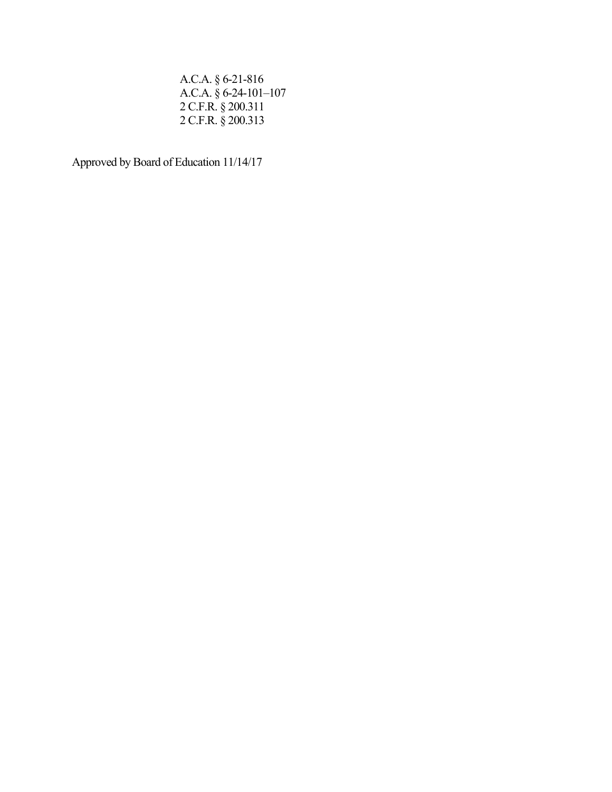A.C.A. § 6-21-816 A.C.A. § 6-24-101–107 2 C.F.R. § 200.311 2 C.F.R. § 200.313

Approved by Board of Education 11/14/17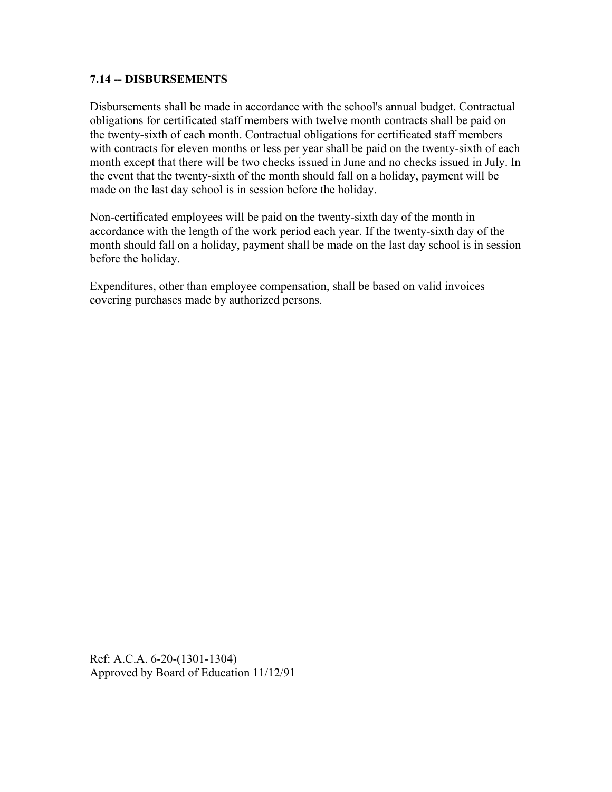### **7.14 -- DISBURSEMENTS**

Disbursements shall be made in accordance with the school's annual budget. Contractual obligations for certificated staff members with twelve month contracts shall be paid on the twenty-sixth of each month. Contractual obligations for certificated staff members with contracts for eleven months or less per year shall be paid on the twenty-sixth of each month except that there will be two checks issued in June and no checks issued in July. In the event that the twenty-sixth of the month should fall on a holiday, payment will be made on the last day school is in session before the holiday.

Non-certificated employees will be paid on the twenty-sixth day of the month in accordance with the length of the work period each year. If the twenty-sixth day of the month should fall on a holiday, payment shall be made on the last day school is in session before the holiday.

Expenditures, other than employee compensation, shall be based on valid invoices covering purchases made by authorized persons.

Ref: A.C.A. 6-20-(1301-1304) Approved by Board of Education 11/12/91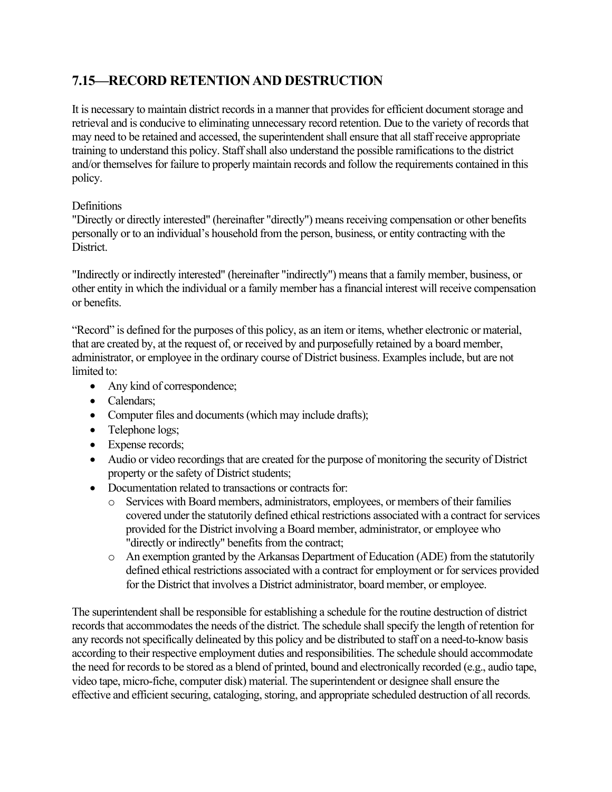# **7.15—RECORD RETENTION AND DESTRUCTION**

It is necessary to maintain district records in a manner that provides for efficient document storage and retrieval and is conducive to eliminating unnecessary record retention. Due to the variety of records that may need to be retained and accessed, the superintendent shall ensure that all staff receive appropriate training to understand this policy. Staff shall also understand the possible ramifications to the district and/or themselves for failure to properly maintain records and follow the requirements contained in this policy.

### **Definitions**

"Directly or directly interested" (hereinafter "directly") means receiving compensation or other benefits personally or to an individual's household from the person, business, or entity contracting with the District.

"Indirectly or indirectly interested" (hereinafter "indirectly") means that a family member, business, or other entity in which the individual or a family member has a financial interest will receive compensation or benefits.

"Record" is defined for the purposes of this policy, as an item or items, whether electronic or material, that are created by, at the request of, or received by and purposefully retained by a board member, administrator, or employee in the ordinary course of District business. Examples include, but are not limited to:

- Any kind of correspondence;
- Calendars:
- Computer files and documents (which may include drafts);
- Telephone logs;
- Expense records;
- Audio or video recordings that are created for the purpose of monitoring the security of District property or the safety of District students;
- Documentation related to transactions or contracts for:
	- o Services with Board members, administrators, employees, or members of their families covered under the statutorily defined ethical restrictions associated with a contract for services provided for the District involving a Board member, administrator, or employee who "directly or indirectly" benefits from the contract;
	- o An exemption granted by the Arkansas Department of Education (ADE) from the statutorily defined ethical restrictions associated with a contract for employment or for services provided for the District that involves a District administrator, board member, or employee.

The superintendent shall be responsible for establishing a schedule for the routine destruction of district records that accommodates the needs of the district. The schedule shall specify the length of retention for any records not specifically delineated by this policy and be distributed to staff on a need-to-know basis according to their respective employment duties and responsibilities. The schedule should accommodate the need for records to be stored as a blend of printed, bound and electronically recorded (e.g., audio tape, video tape, micro-fiche, computer disk) material. The superintendent or designee shall ensure the effective and efficient securing, cataloging, storing, and appropriate scheduled destruction of all records.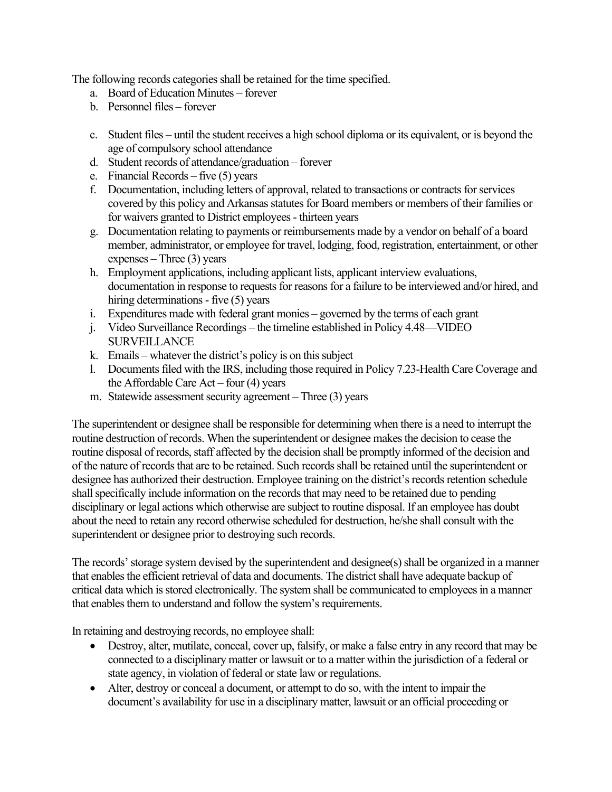The following records categories shall be retained for the time specified.

- a. Board of Education Minutes forever
- b. Personnel files forever
- c. Student files until the student receives a high school diploma or its equivalent, or is beyond the age of compulsory school attendance
- d. Student records of attendance/graduation forever
- e. Financial Records five (5) years
- f. Documentation, including letters of approval, related to transactions or contracts for services covered by this policy and Arkansas statutes for Board members or members of their families or for waivers granted to District employees - thirteen years
- g. Documentation relating to payments or reimbursements made by a vendor on behalf of a board member, administrator, or employee for travel, lodging, food, registration, entertainment, or other expenses – Three (3) years
- h. Employment applications, including applicant lists, applicant interview evaluations, documentation in response to requests for reasons for a failure to be interviewed and/or hired, and hiring determinations - five (5) years
- i. Expenditures made with federal grant monies governed by the terms of each grant
- j. Video Surveillance Recordings the timeline established in Policy 4.48—VIDEO **SURVEILLANCE**
- k. Emails whatever the district's policy is on this subject
- l. Documents filed with the IRS, including those required in Policy 7.23-Health Care Coverage and the Affordable Care  $Act - four(4)$  years
- m. Statewide assessment security agreement Three (3) years

The superintendent or designee shall be responsible for determining when there is a need to interrupt the routine destruction of records. When the superintendent or designee makes the decision to cease the routine disposal of records, staff affected by the decision shall be promptly informed of the decision and of the nature of records that are to be retained. Such records shall be retained until the superintendent or designee has authorized their destruction. Employee training on the district's records retention schedule shall specifically include information on the records that may need to be retained due to pending disciplinary or legal actions which otherwise are subject to routine disposal. If an employee has doubt about the need to retain any record otherwise scheduled for destruction, he/she shall consult with the superintendent or designee prior to destroying such records.

The records' storage system devised by the superintendent and designee(s) shall be organized in a manner that enables the efficient retrieval of data and documents. The district shall have adequate backup of critical data which is stored electronically. The system shall be communicated to employees in a manner that enables them to understand and follow the system's requirements.

In retaining and destroying records, no employee shall:

- Destroy, alter, mutilate, conceal, cover up, falsify, or make a false entry in any record that may be connected to a disciplinary matter or lawsuit or to a matter within the jurisdiction of a federal or state agency, in violation of federal or state law or regulations.
- Alter, destroy or conceal a document, or attempt to do so, with the intent to impair the document's availability for use in a disciplinary matter, lawsuit or an official proceeding or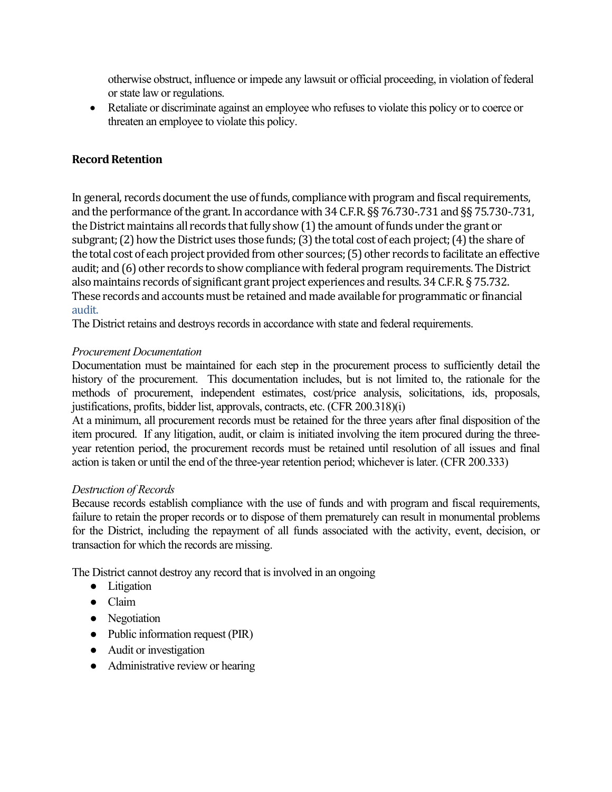otherwise obstruct, influence or impede any lawsuit or official proceeding, in violation of federal or state law or regulations.

• Retaliate or discriminate against an employee who refuses to violate this policy or to coerce or threaten an employee to violate this policy.

# **Record Retention**

In general, records document the use of funds, compliance with program and fiscal requirements, and the performance of the grant. In accordance with 34 C.F.R. §§ 76.730-.731 and §§ 75.730-.731, the District maintains all records that fully show (1) the amount of funds under the grant or subgrant; (2) how the District uses those funds; (3) the total cost of each project; (4) the share of the total cost of each project provided from other sources; (5) other records to facilitate an effective audit; and (6) other records to show compliance with federal program requirements. The District also maintains records of significant grant project experiences and results. 34 C.F.R. § 75.732. These records and accounts must be retained and made available for programmatic or financial audit.

The District retains and destroys records in accordance with state and federal requirements.

### *Procurement Documentation*

Documentation must be maintained for each step in the procurement process to sufficiently detail the history of the procurement. This documentation includes, but is not limited to, the rationale for the methods of procurement, independent estimates, cost/price analysis, solicitations, ids, proposals, justifications, profits, bidder list, approvals, contracts, etc. (CFR 200.318)(i)

At a minimum, all procurement records must be retained for the three years after final disposition of the item procured. If any litigation, audit, or claim is initiated involving the item procured during the threeyear retention period, the procurement records must be retained until resolution of all issues and final action is taken or until the end of the three-year retention period; whichever is later. (CFR 200.333)

#### *Destruction of Records*

Because records establish compliance with the use of funds and with program and fiscal requirements, failure to retain the proper records or to dispose of them prematurely can result in monumental problems for the District, including the repayment of all funds associated with the activity, event, decision, or transaction for which the records are missing.

The District cannot destroy any record that is involved in an ongoing

- Litigation
- Claim
- Negotiation
- Public information request (PIR)
- Audit or investigation
- Administrative review or hearing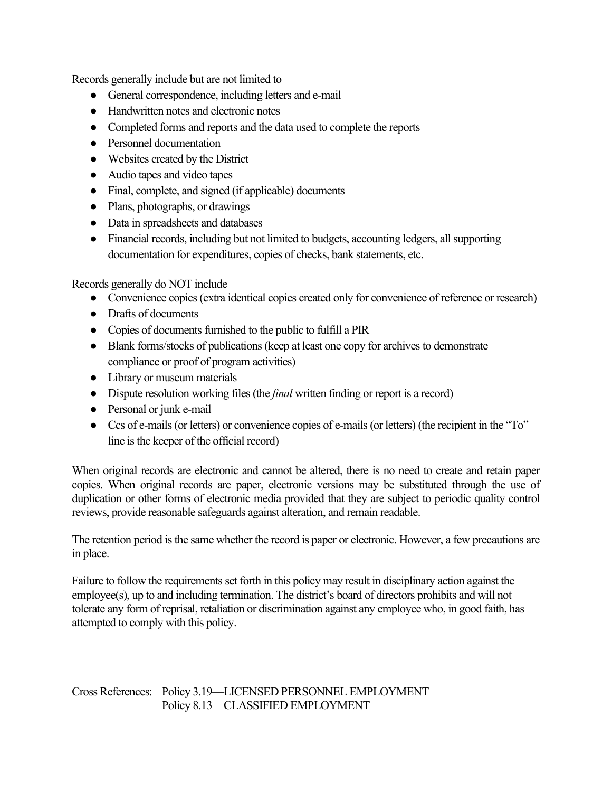Records generally include but are not limited to

- General correspondence, including letters and e-mail
- Handwritten notes and electronic notes
- Completed forms and reports and the data used to complete the reports
- Personnel documentation
- Websites created by the District
- Audio tapes and video tapes
- Final, complete, and signed (if applicable) documents
- Plans, photographs, or drawings
- Data in spreadsheets and databases
- Financial records, including but not limited to budgets, accounting ledgers, all supporting documentation for expenditures, copies of checks, bank statements, etc.

Records generally do NOT include

- Convenience copies (extra identical copies created only for convenience of reference or research)
- Drafts of documents
- Copies of documents furnished to the public to fulfill a PIR
- Blank forms/stocks of publications (keep at least one copy for archives to demonstrate compliance or proof of program activities)
- Library or museum materials
- Dispute resolution working files (the *final* written finding or report is a record)
- Personal or junk e-mail
- Ccs of e-mails (or letters) or convenience copies of e-mails (or letters) (the recipient in the "To" line is the keeper of the official record)

When original records are electronic and cannot be altered, there is no need to create and retain paper copies. When original records are paper, electronic versions may be substituted through the use of duplication or other forms of electronic media provided that they are subject to periodic quality control reviews, provide reasonable safeguards against alteration, and remain readable.

The retention period is the same whether the record is paper or electronic. However, a few precautions are in place.

Failure to follow the requirements set forth in this policy may result in disciplinary action against the employee(s), up to and including termination. The district's board of directors prohibits and will not tolerate any form of reprisal, retaliation or discrimination against any employee who, in good faith, has attempted to comply with this policy.

Cross References: Policy 3.19—LICENSED PERSONNEL EMPLOYMENT Policy 8.13—CLASSIFIED EMPLOYMENT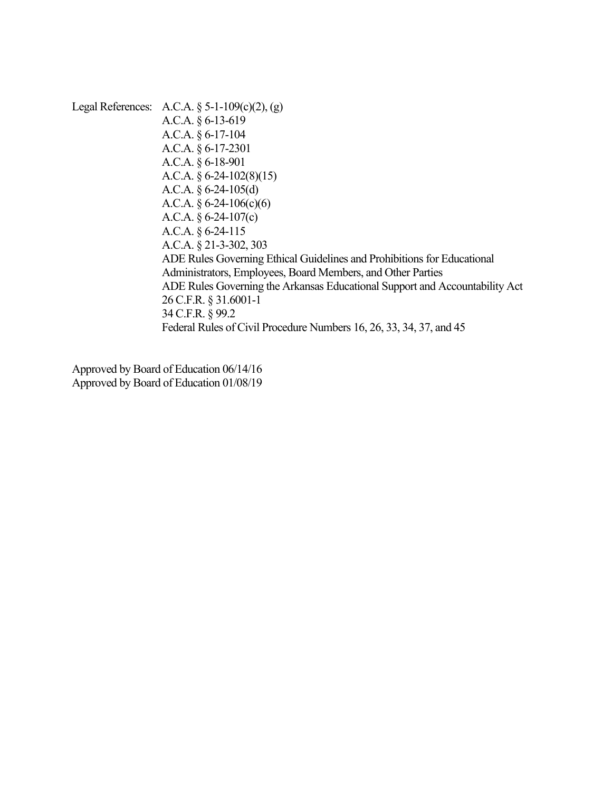Legal References: A.C.A. § 5-1-109(c)(2), (g) A.C.A. § 6-13-619 A.C.A. § 6-17-104 A.C.A. § 6-17-2301 A.C.A. § 6-18-901 A.C.A. § 6-24-102(8)(15) A.C.A. § 6-24-105(d) A.C.A.  $§$  6-24-106(c)(6) A.C.A. § 6-24-107(c) A.C.A. § 6-24-115 A.C.A. § 21-3-302, 303 ADE Rules Governing Ethical Guidelines and Prohibitions for Educational Administrators, Employees, Board Members, and Other Parties ADE Rules Governing the Arkansas Educational Support and Accountability Act 26 C.F.R. § 31.6001-1 34 C.F.R. § 99.2 Federal Rules of Civil Procedure Numbers 16, 26, 33, 34, 37, and 45

Approved by Board of Education 06/14/16 Approved by Board of Education 01/08/19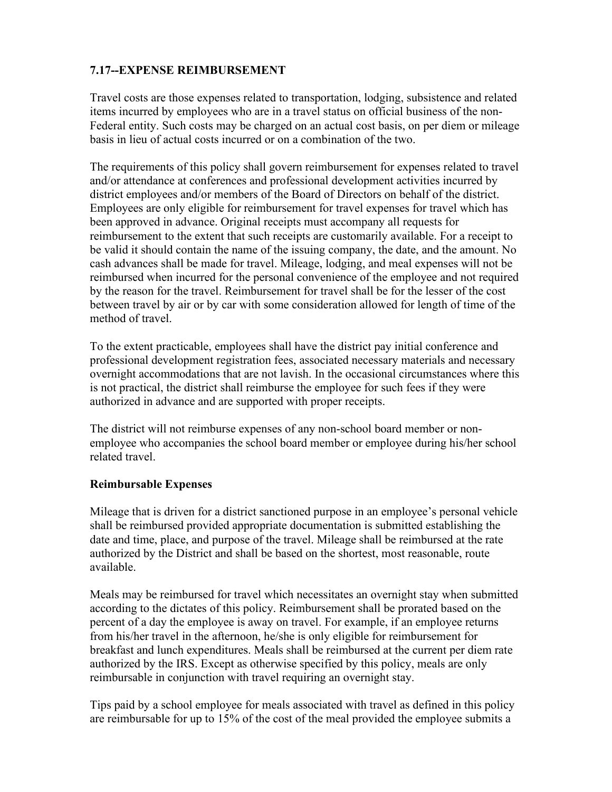# **7.17--EXPENSE REIMBURSEMENT**

Travel costs are those expenses related to transportation, lodging, subsistence and related items incurred by employees who are in a travel status on official business of the non-Federal entity. Such costs may be charged on an actual cost basis, on per diem or mileage basis in lieu of actual costs incurred or on a combination of the two.

The requirements of this policy shall govern reimbursement for expenses related to travel and/or attendance at conferences and professional development activities incurred by district employees and/or members of the Board of Directors on behalf of the district. Employees are only eligible for reimbursement for travel expenses for travel which has been approved in advance. Original receipts must accompany all requests for reimbursement to the extent that such receipts are customarily available. For a receipt to be valid it should contain the name of the issuing company, the date, and the amount. No cash advances shall be made for travel. Mileage, lodging, and meal expenses will not be reimbursed when incurred for the personal convenience of the employee and not required by the reason for the travel. Reimbursement for travel shall be for the lesser of the cost between travel by air or by car with some consideration allowed for length of time of the method of travel.

To the extent practicable, employees shall have the district pay initial conference and professional development registration fees, associated necessary materials and necessary overnight accommodations that are not lavish. In the occasional circumstances where this is not practical, the district shall reimburse the employee for such fees if they were authorized in advance and are supported with proper receipts.

The district will not reimburse expenses of any non-school board member or nonemployee who accompanies the school board member or employee during his/her school related travel.

### **Reimbursable Expenses**

Mileage that is driven for a district sanctioned purpose in an employee's personal vehicle shall be reimbursed provided appropriate documentation is submitted establishing the date and time, place, and purpose of the travel. Mileage shall be reimbursed at the rate authorized by the District and shall be based on the shortest, most reasonable, route available.

Meals may be reimbursed for travel which necessitates an overnight stay when submitted according to the dictates of this policy. Reimbursement shall be prorated based on the percent of a day the employee is away on travel. For example, if an employee returns from his/her travel in the afternoon, he/she is only eligible for reimbursement for breakfast and lunch expenditures. Meals shall be reimbursed at the current per diem rate authorized by the IRS. Except as otherwise specified by this policy, meals are only reimbursable in conjunction with travel requiring an overnight stay.

Tips paid by a school employee for meals associated with travel as defined in this policy are reimbursable for up to 15% of the cost of the meal provided the employee submits a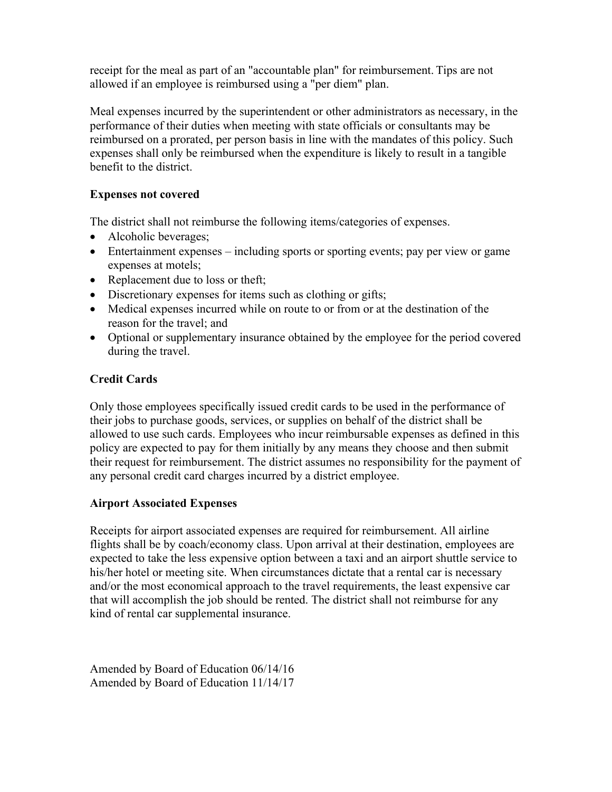receipt for the meal as part of an "accountable plan" for reimbursement. Tips are not allowed if an employee is reimbursed using a "per diem" plan.

Meal expenses incurred by the superintendent or other administrators as necessary, in the performance of their duties when meeting with state officials or consultants may be reimbursed on a prorated, per person basis in line with the mandates of this policy. Such expenses shall only be reimbursed when the expenditure is likely to result in a tangible benefit to the district.

# **Expenses not covered**

The district shall not reimburse the following items/categories of expenses.

- Alcoholic beverages;
- Entertainment expenses including sports or sporting events; pay per view or game expenses at motels;
- Replacement due to loss or theft;
- Discretionary expenses for items such as clothing or gifts;
- Medical expenses incurred while on route to or from or at the destination of the reason for the travel; and
- Optional or supplementary insurance obtained by the employee for the period covered during the travel.

# **Credit Cards**

Only those employees specifically issued credit cards to be used in the performance of their jobs to purchase goods, services, or supplies on behalf of the district shall be allowed to use such cards. Employees who incur reimbursable expenses as defined in this policy are expected to pay for them initially by any means they choose and then submit their request for reimbursement. The district assumes no responsibility for the payment of any personal credit card charges incurred by a district employee.

### **Airport Associated Expenses**

Receipts for airport associated expenses are required for reimbursement. All airline flights shall be by coach/economy class. Upon arrival at their destination, employees are expected to take the less expensive option between a taxi and an airport shuttle service to his/her hotel or meeting site. When circumstances dictate that a rental car is necessary and/or the most economical approach to the travel requirements, the least expensive car that will accomplish the job should be rented. The district shall not reimburse for any kind of rental car supplemental insurance.

Amended by Board of Education 06/14/16 Amended by Board of Education 11/14/17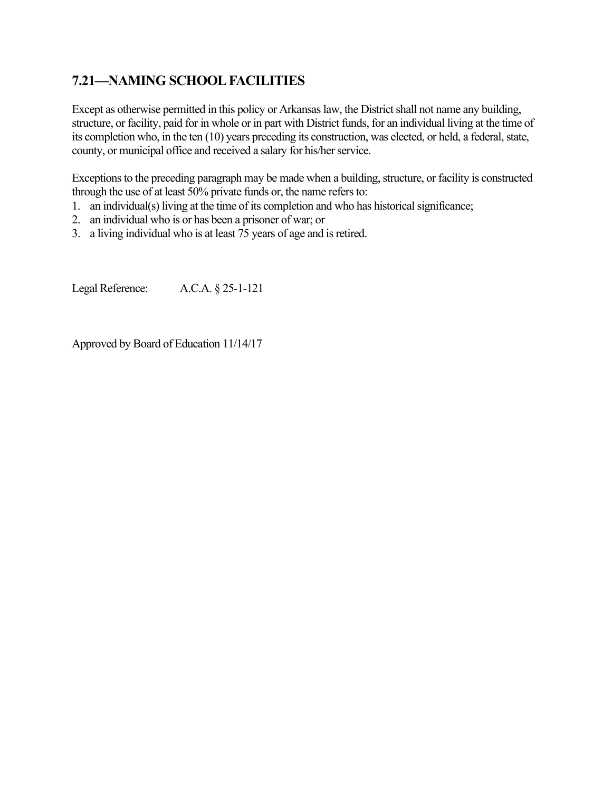# **7.21—NAMING SCHOOL FACILITIES**

Except as otherwise permitted in this policy or Arkansas law, the District shall not name any building, structure, or facility, paid for in whole or in part with District funds, for an individual living at the time of its completion who, in the ten (10) years preceding its construction, was elected, or held, a federal, state, county, or municipal office and received a salary for his/her service.

Exceptions to the preceding paragraph may be made when a building, structure, or facility is constructed through the use of at least 50% private funds or, the name refers to:

- 1. an individual(s) living at the time of its completion and who has historical significance;
- 2. an individual who is or has been a prisoner of war; or
- 3. a living individual who is at least 75 years of age and is retired.

Legal Reference: A.C.A. § 25-1-121

Approved by Board of Education 11/14/17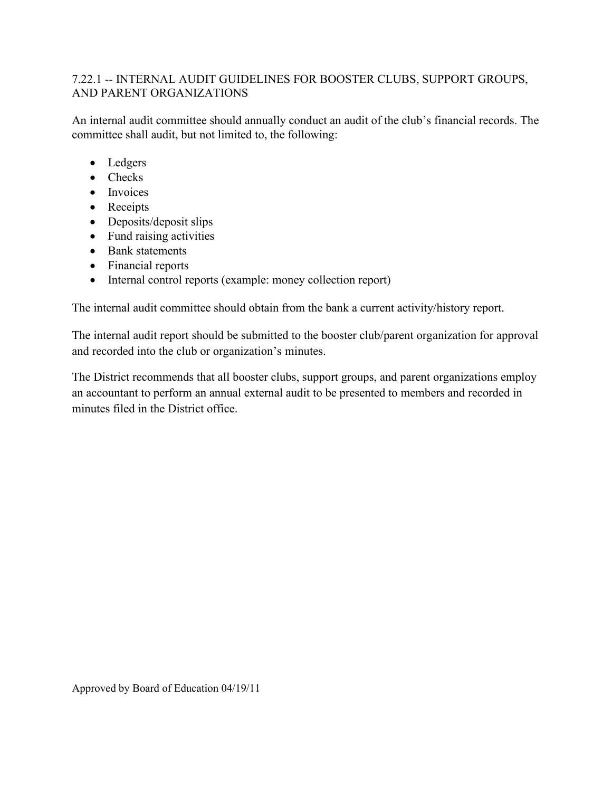# 7.22.1 -- INTERNAL AUDIT GUIDELINES FOR BOOSTER CLUBS, SUPPORT GROUPS, AND PARENT ORGANIZATIONS

An internal audit committee should annually conduct an audit of the club's financial records. The committee shall audit, but not limited to, the following:

- Ledgers
- Checks
- Invoices
- Receipts
- Deposits/deposit slips
- Fund raising activities
- Bank statements
- Financial reports
- Internal control reports (example: money collection report)

The internal audit committee should obtain from the bank a current activity/history report.

The internal audit report should be submitted to the booster club/parent organization for approval and recorded into the club or organization's minutes.

The District recommends that all booster clubs, support groups, and parent organizations employ an accountant to perform an annual external audit to be presented to members and recorded in minutes filed in the District office.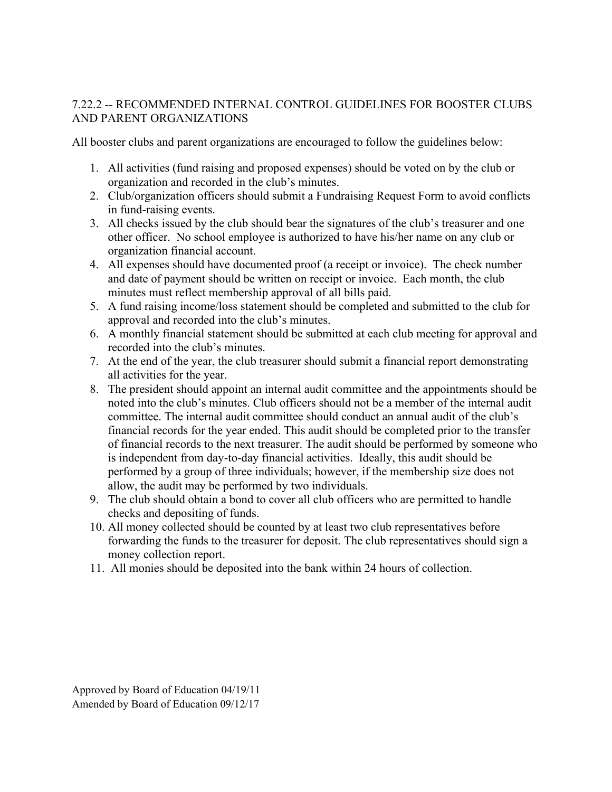# 7.22.2 -- RECOMMENDED INTERNAL CONTROL GUIDELINES FOR BOOSTER CLUBS AND PARENT ORGANIZATIONS

All booster clubs and parent organizations are encouraged to follow the guidelines below:

- 1. All activities (fund raising and proposed expenses) should be voted on by the club or organization and recorded in the club's minutes.
- 2. Club/organization officers should submit a Fundraising Request Form to avoid conflicts in fund-raising events.
- 3. All checks issued by the club should bear the signatures of the club's treasurer and one other officer. No school employee is authorized to have his/her name on any club or organization financial account.
- 4. All expenses should have documented proof (a receipt or invoice). The check number and date of payment should be written on receipt or invoice. Each month, the club minutes must reflect membership approval of all bills paid.
- 5. A fund raising income/loss statement should be completed and submitted to the club for approval and recorded into the club's minutes.
- 6. A monthly financial statement should be submitted at each club meeting for approval and recorded into the club's minutes.
- 7. At the end of the year, the club treasurer should submit a financial report demonstrating all activities for the year.
- 8. The president should appoint an internal audit committee and the appointments should be noted into the club's minutes. Club officers should not be a member of the internal audit committee. The internal audit committee should conduct an annual audit of the club's financial records for the year ended. This audit should be completed prior to the transfer of financial records to the next treasurer. The audit should be performed by someone who is independent from day-to-day financial activities. Ideally, this audit should be performed by a group of three individuals; however, if the membership size does not allow, the audit may be performed by two individuals.
- 9. The club should obtain a bond to cover all club officers who are permitted to handle checks and depositing of funds.
- 10. All money collected should be counted by at least two club representatives before forwarding the funds to the treasurer for deposit. The club representatives should sign a money collection report.
- 11. All monies should be deposited into the bank within 24 hours of collection.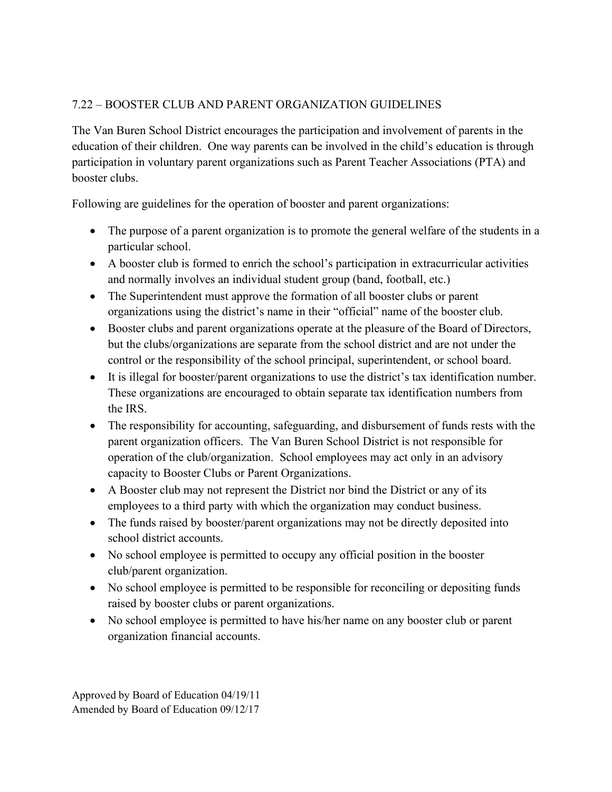# 7.22 – BOOSTER CLUB AND PARENT ORGANIZATION GUIDELINES

The Van Buren School District encourages the participation and involvement of parents in the education of their children. One way parents can be involved in the child's education is through participation in voluntary parent organizations such as Parent Teacher Associations (PTA) and booster clubs.

Following are guidelines for the operation of booster and parent organizations:

- The purpose of a parent organization is to promote the general welfare of the students in a particular school.
- A booster club is formed to enrich the school's participation in extracurricular activities and normally involves an individual student group (band, football, etc.)
- The Superintendent must approve the formation of all booster clubs or parent organizations using the district's name in their "official" name of the booster club.
- Booster clubs and parent organizations operate at the pleasure of the Board of Directors, but the clubs/organizations are separate from the school district and are not under the control or the responsibility of the school principal, superintendent, or school board.
- It is illegal for booster/parent organizations to use the district's tax identification number. These organizations are encouraged to obtain separate tax identification numbers from the IRS.
- The responsibility for accounting, safeguarding, and disbursement of funds rests with the parent organization officers. The Van Buren School District is not responsible for operation of the club/organization. School employees may act only in an advisory capacity to Booster Clubs or Parent Organizations.
- A Booster club may not represent the District nor bind the District or any of its employees to a third party with which the organization may conduct business.
- The funds raised by booster/parent organizations may not be directly deposited into school district accounts.
- No school employee is permitted to occupy any official position in the booster club/parent organization.
- No school employee is permitted to be responsible for reconciling or depositing funds raised by booster clubs or parent organizations.
- No school employee is permitted to have his/her name on any booster club or parent organization financial accounts.

Approved by Board of Education 04/19/11 Amended by Board of Education 09/12/17